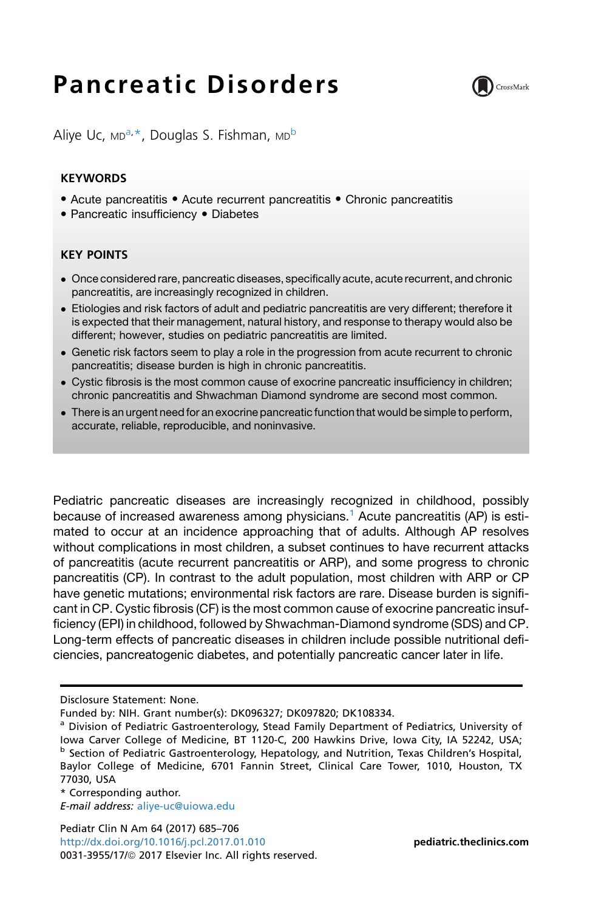# Pancreatic Disorders



Aliye UC, MD<sup>a, S</sup>, Douglas S. Fishman, MD<sup>a</sup>

## **KEYWORDS**

- Acute pancreatitis Acute recurrent pancreatitis Chronic pancreatitis
- Pancreatic insufficiency Diabetes

## KEY POINTS

- Once considered rare, pancreatic diseases, specifically acute, acute recurrent, and chronic pancreatitis, are increasingly recognized in children.
- Etiologies and risk factors of adult and pediatric pancreatitis are very different; therefore it is expected that their management, natural history, and response to therapy would also be different; however, studies on pediatric pancreatitis are limited.
- Genetic risk factors seem to play a role in the progression from acute recurrent to chronic pancreatitis; disease burden is high in chronic pancreatitis.
- Cystic fibrosis is the most common cause of exocrine pancreatic insufficiency in children; chronic pancreatitis and Shwachman Diamond syndrome are second most common.
- There is an urgent need for an exocrine pancreatic function that would be simple to perform, accurate, reliable, reproducible, and noninvasive.

Pediatric pancreatic diseases are increasingly recognized in childhood, possibly because of increased awareness among physicians.<sup>[1](#page-16-0)</sup> Acute pancreatitis (AP) is estimated to occur at an incidence approaching that of adults. Although AP resolves without complications in most children, a subset continues to have recurrent attacks of pancreatitis (acute recurrent pancreatitis or ARP), and some progress to chronic pancreatitis (CP). In contrast to the adult population, most children with ARP or CP have genetic mutations; environmental risk factors are rare. Disease burden is significant in CP. Cystic fibrosis (CF) is the most common cause of exocrine pancreatic insufficiency (EPI) in childhood, followed by Shwachman-Diamond syndrome (SDS) and CP. Long-term effects of pancreatic diseases in children include possible nutritional deficiencies, pancreatogenic diabetes, and potentially pancreatic cancer later in life.

\* Corresponding author. E-mail address: [aliye-uc@uiowa.edu](mailto:aliye-uc@uiowa.edu)

Pediatr Clin N Am 64 (2017) 685–706 <http://dx.doi.org/10.1016/j.pcl.2017.01.010> [pediatric.theclinics.com](http://pediatric.theclinics.com) 0031-3955/17/@ 2017 Elsevier Inc. All rights reserved.

Disclosure Statement: None.

Funded by: NIH. Grant number(s): DK096327; DK097820; DK108334.

<sup>&</sup>lt;sup>a</sup> Division of Pediatric Gastroenterology, Stead Family Department of Pediatrics, University of Iowa Carver College of Medicine, BT 1120-C, 200 Hawkins Drive, Iowa City, IA 52242, USA; <sup>b</sup> Section of Pediatric Gastroenterology, Hepatology, and Nutrition, Texas Children's Hospital, Baylor College of Medicine, 6701 Fannin Street, Clinical Care Tower, 1010, Houston, TX 77030, USA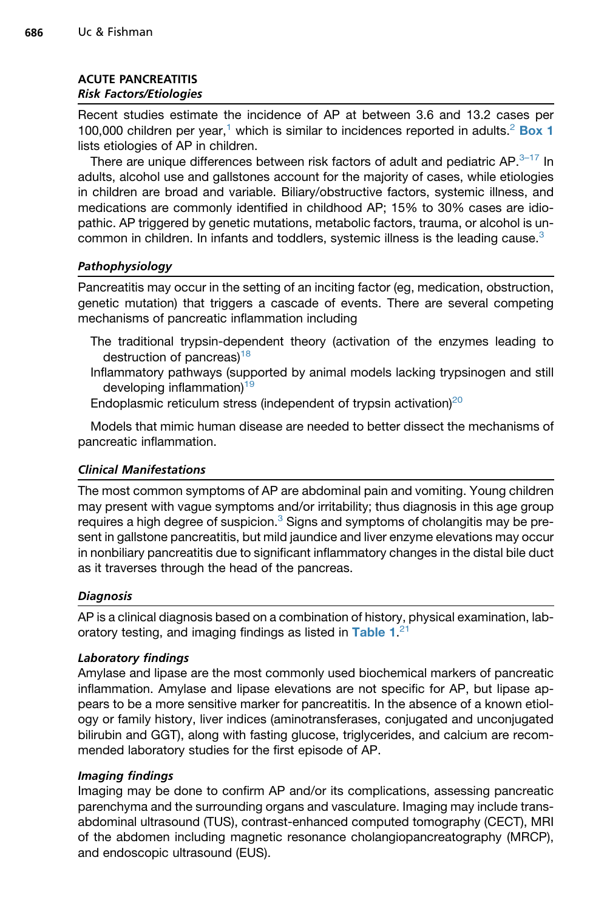## ACUTE PANCREATITIS Risk Factors/Etiologies

Recent studies estimate the incidence of AP at between 3.6 and 13.2 cases per 100,000 children per year,<sup>1</sup> which is similar to incidences reported in adults.<sup>[2](#page-16-0)</sup> [Box 1](#page-2-0) lists etiologies of AP in children.

There are unique differences between risk factors of adult and pediatric  $AP.^{3-17}$  In adults, alcohol use and gallstones account for the majority of cases, while etiologies in children are broad and variable. Biliary/obstructive factors, systemic illness, and medications are commonly identified in childhood AP; 15% to 30% cases are idiopathic. AP triggered by genetic mutations, metabolic factors, trauma, or alcohol is uncommon in children. In infants and toddlers, systemic illness is the leading cause. $3$ 

# Pathophysiology

Pancreatitis may occur in the setting of an inciting factor (eg, medication, obstruction, genetic mutation) that triggers a cascade of events. There are several competing mechanisms of pancreatic inflammation including

- The traditional trypsin-dependent theory (activation of the enzymes leading to destruction of pancreas)<sup>[18](#page-17-0)</sup>
- Inflammatory pathways (supported by animal models lacking trypsinogen and still developing inflammation)<sup>[19](#page-17-0)</sup>
- Endoplasmic reticulum stress (independent of trypsin activation)<sup>[20](#page-17-0)</sup>

Models that mimic human disease are needed to better dissect the mechanisms of pancreatic inflammation.

# Clinical Manifestations

The most common symptoms of AP are abdominal pain and vomiting. Young children may present with vague symptoms and/or irritability; thus diagnosis in this age group requires a high degree of suspicion.<sup>[3](#page-16-0)</sup> Signs and symptoms of cholangitis may be present in gallstone pancreatitis, but mild jaundice and liver enzyme elevations may occur in nonbiliary pancreatitis due to significant inflammatory changes in the distal bile duct as it traverses through the head of the pancreas.

# **Diagnosis**

AP is a clinical diagnosis based on a combination of history, physical examination, lab-oratory testing, and imaging findings as listed in [Table 1](#page-4-0).<sup>[21](#page-17-0)</sup>

# Laboratory findings

Amylase and lipase are the most commonly used biochemical markers of pancreatic inflammation. Amylase and lipase elevations are not specific for AP, but lipase appears to be a more sensitive marker for pancreatitis. In the absence of a known etiology or family history, liver indices (aminotransferases, conjugated and unconjugated bilirubin and GGT), along with fasting glucose, triglycerides, and calcium are recommended laboratory studies for the first episode of AP.

# Imaging findings

Imaging may be done to confirm AP and/or its complications, assessing pancreatic parenchyma and the surrounding organs and vasculature. Imaging may include transabdominal ultrasound (TUS), contrast-enhanced computed tomography (CECT), MRI of the abdomen including magnetic resonance cholangiopancreatography (MRCP), and endoscopic ultrasound (EUS).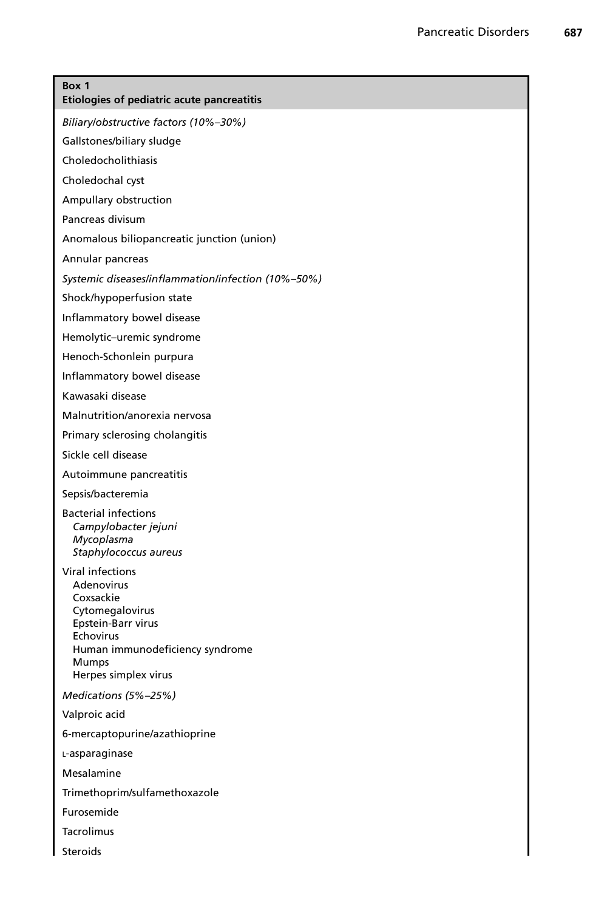<span id="page-2-0"></span>

| Box 1<br>Etiologies of pediatric acute pancreatitis                                                                                                                          |
|------------------------------------------------------------------------------------------------------------------------------------------------------------------------------|
| Biliary/obstructive factors (10%-30%)                                                                                                                                        |
| Gallstones/biliary sludge                                                                                                                                                    |
| Choledocholithiasis                                                                                                                                                          |
| Choledochal cyst                                                                                                                                                             |
| Ampullary obstruction                                                                                                                                                        |
| Pancreas divisum                                                                                                                                                             |
| Anomalous biliopancreatic junction (union)                                                                                                                                   |
| Annular pancreas                                                                                                                                                             |
| Systemic diseases/inflammation/infection (10%-50%)                                                                                                                           |
| Shock/hypoperfusion state                                                                                                                                                    |
| Inflammatory bowel disease                                                                                                                                                   |
| Hemolytic-uremic syndrome                                                                                                                                                    |
| Henoch-Schonlein purpura                                                                                                                                                     |
| Inflammatory bowel disease                                                                                                                                                   |
| Kawasaki disease                                                                                                                                                             |
| Malnutrition/anorexia nervosa                                                                                                                                                |
| Primary sclerosing cholangitis                                                                                                                                               |
| Sickle cell disease                                                                                                                                                          |
| Autoimmune pancreatitis                                                                                                                                                      |
| Sepsis/bacteremia                                                                                                                                                            |
| <b>Bacterial infections</b><br>Campylobacter jejuni<br>Mycoplasma<br>Staphylococcus aureus                                                                                   |
| Viral infections<br>Adenovirus<br>Coxsackie<br>Cytomegalovirus<br>Epstein-Barr virus<br>Echovirus<br>Human immunodeficiency syndrome<br><b>Mumps</b><br>Herpes simplex virus |
| Medications (5%–25%)                                                                                                                                                         |
| Valproic acid                                                                                                                                                                |
| 6-mercaptopurine/azathioprine                                                                                                                                                |
| L-asparaginase                                                                                                                                                               |
| Mesalamine                                                                                                                                                                   |
| Trimethoprim/sulfamethoxazole                                                                                                                                                |
| Furosemide                                                                                                                                                                   |
| Tacrolimus                                                                                                                                                                   |
| Steroids                                                                                                                                                                     |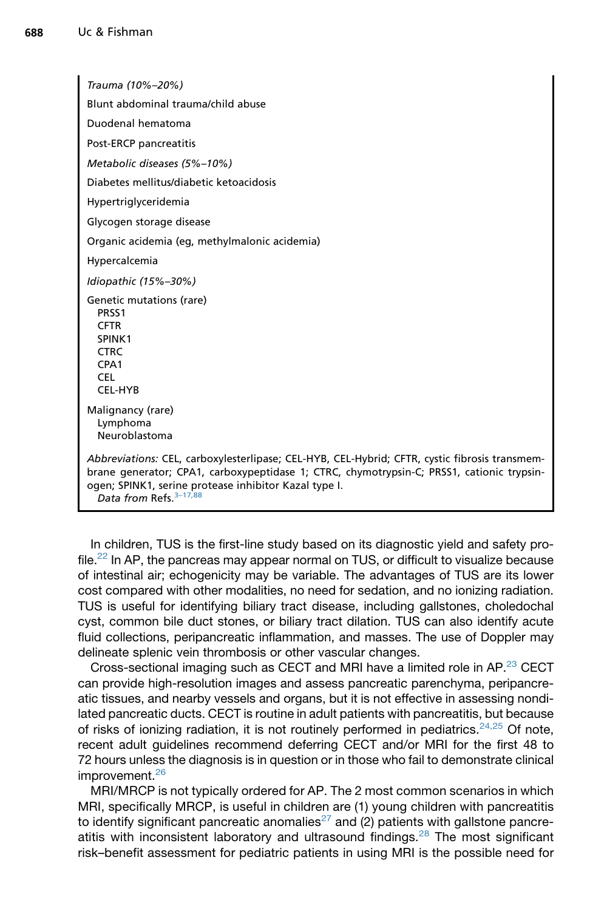Trauma (10%–20%) Blunt abdominal trauma/child abuse Duodenal hematoma Post-ERCP pancreatitis Metabolic diseases (5%–10%) Diabetes mellitus/diabetic ketoacidosis Hypertriglyceridemia Glycogen storage disease Organic acidemia (eg, methylmalonic acidemia) Hypercalcemia Idiopathic (15%–30%) Genetic mutations (rare) PRSS1 CFTR SPINK1 **CTRC** CPA1 CEL CEL-HYB Malignancy (rare) Lymphoma Neuroblastoma Abbreviations: CEL, carboxylesterlipase; CEL-HYB, CEL-Hybrid; CFTR, cystic fibrosis transmembrane generator; CPA1, carboxypeptidase 1; CTRC, chymotrypsin-C; PRSS1, cationic trypsinogen; SPINK1, serine protease inhibitor Kazal type I. Data from Refs.<sup>3-17,88</sup>

In children, TUS is the first-line study based on its diagnostic yield and safety profile. $^{22}$  $^{22}$  $^{22}$  In AP, the pancreas may appear normal on TUS, or difficult to visualize because of intestinal air; echogenicity may be variable. The advantages of TUS are its lower cost compared with other modalities, no need for sedation, and no ionizing radiation. TUS is useful for identifying biliary tract disease, including gallstones, choledochal cyst, common bile duct stones, or biliary tract dilation. TUS can also identify acute fluid collections, peripancreatic inflammation, and masses. The use of Doppler may delineate splenic vein thrombosis or other vascular changes.

Cross-sectional imaging such as CECT and MRI have a limited role in AP.<sup>[23](#page-17-0)</sup> CECT can provide high-resolution images and assess pancreatic parenchyma, peripancreatic tissues, and nearby vessels and organs, but it is not effective in assessing nondilated pancreatic ducts. CECT is routine in adult patients with pancreatitis, but because of risks of ionizing radiation, it is not routinely performed in pediatrics. $24,25$  Of note, recent adult guidelines recommend deferring CECT and/or MRI for the first 48 to 72 hours unless the diagnosis is in question or in those who fail to demonstrate clinical improvement.<sup>[26](#page-17-0)</sup>

MRI/MRCP is not typically ordered for AP. The 2 most common scenarios in which MRI, specifically MRCP, is useful in children are (1) young children with pancreatitis to identify significant pancreatic anomalies<sup>[27](#page-17-0)</sup> and  $(2)$  patients with gallstone pancreatitis with inconsistent laboratory and ultrasound findings.[28](#page-17-0) The most significant risk–benefit assessment for pediatric patients in using MRI is the possible need for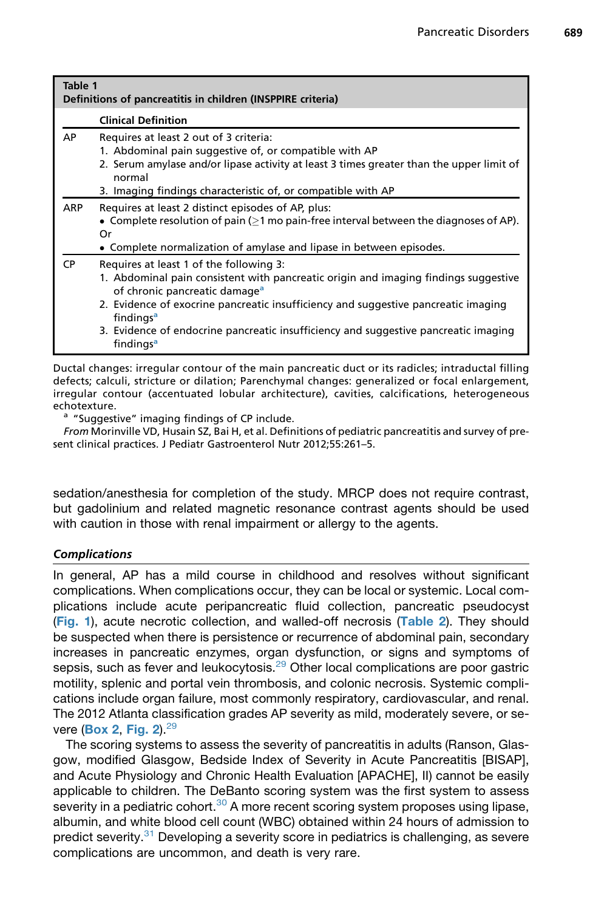<span id="page-4-0"></span>

|            | Table 1<br>Definitions of pancreatitis in children (INSPPIRE criteria)                                                                                                                                                                                                                                                                                                                                     |  |  |  |  |
|------------|------------------------------------------------------------------------------------------------------------------------------------------------------------------------------------------------------------------------------------------------------------------------------------------------------------------------------------------------------------------------------------------------------------|--|--|--|--|
|            | <b>Clinical Definition</b>                                                                                                                                                                                                                                                                                                                                                                                 |  |  |  |  |
| AP         | Requires at least 2 out of 3 criteria:<br>1. Abdominal pain suggestive of, or compatible with AP<br>2. Serum amylase and/or lipase activity at least 3 times greater than the upper limit of<br>normal<br>3. Imaging findings characteristic of, or compatible with AP                                                                                                                                     |  |  |  |  |
| <b>ARP</b> | Requires at least 2 distinct episodes of AP, plus:<br>• Complete resolution of pain ( $>1$ mo pain-free interval between the diagnoses of AP).<br>Or<br>• Complete normalization of amylase and lipase in between episodes.                                                                                                                                                                                |  |  |  |  |
| CP         | Requires at least 1 of the following 3:<br>1. Abdominal pain consistent with pancreatic origin and imaging findings suggestive<br>of chronic pancreatic damage <sup>a</sup><br>2. Evidence of exocrine pancreatic insufficiency and suggestive pancreatic imaging<br>findings <sup>a</sup><br>3. Evidence of endocrine pancreatic insufficiency and suggestive pancreatic imaging<br>findings <sup>a</sup> |  |  |  |  |

Ductal changes: irregular contour of the main pancreatic duct or its radicles; intraductal filling defects; calculi, stricture or dilation; Parenchymal changes: generalized or focal enlargement, irregular contour (accentuated lobular architecture), cavities, calcifications, heterogeneous echotexture.<br><sup>a</sup> "Suggestive" imaging findings of CP include.

From Morinville VD, Husain SZ, Bai H, et al. Definitions of pediatric pancreatitis and survey of present clinical practices. J Pediatr Gastroenterol Nutr 2012;55:261–5.

sedation/anesthesia for completion of the study. MRCP does not require contrast, but gadolinium and related magnetic resonance contrast agents should be used with caution in those with renal impairment or allergy to the agents.

### Complications

In general, AP has a mild course in childhood and resolves without significant complications. When complications occur, they can be local or systemic. Local complications include acute peripancreatic fluid collection, pancreatic pseudocyst ([Fig. 1](#page-5-0)), acute necrotic collection, and walled-off necrosis ([Table 2](#page-6-0)). They should be suspected when there is persistence or recurrence of abdominal pain, secondary increases in pancreatic enzymes, organ dysfunction, or signs and symptoms of sepsis, such as fever and leukocytosis.<sup>[29](#page-17-0)</sup> Other local complications are poor gastric motility, splenic and portal vein thrombosis, and colonic necrosis. Systemic complications include organ failure, most commonly respiratory, cardiovascular, and renal. The 2012 Atlanta classification grades AP severity as mild, moderately severe, or se-vere ([Box 2](#page-7-0), [Fig. 2](#page-7-0)). $29$ 

The scoring systems to assess the severity of pancreatitis in adults (Ranson, Glasgow, modified Glasgow, Bedside Index of Severity in Acute Pancreatitis [BISAP], and Acute Physiology and Chronic Health Evaluation [APACHE], II) cannot be easily applicable to children. The DeBanto scoring system was the first system to assess severity in a pediatric cohort.<sup>[30](#page-17-0)</sup> A more recent scoring system proposes using lipase, albumin, and white blood cell count (WBC) obtained within 24 hours of admission to predict severity. $31$  Developing a severity score in pediatrics is challenging, as severe complications are uncommon, and death is very rare.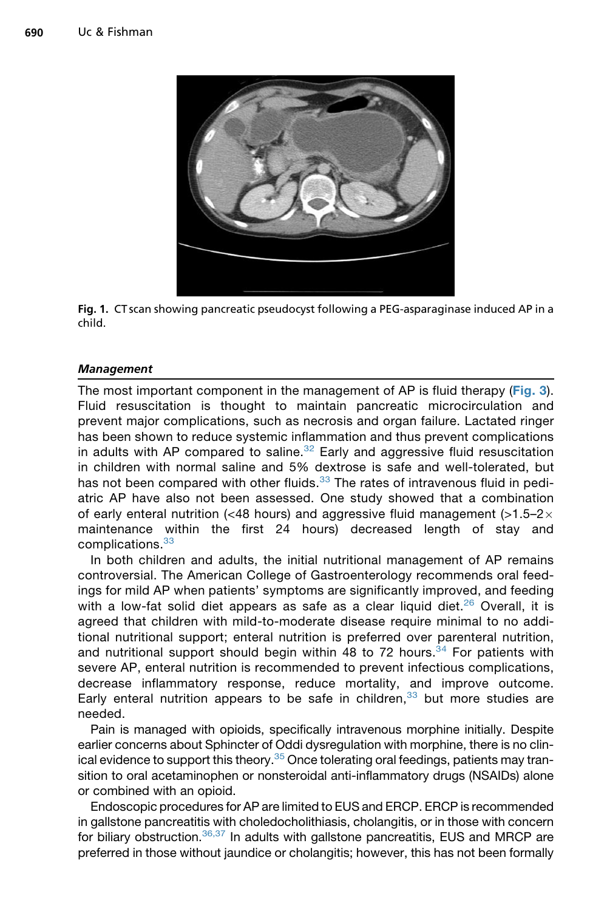<span id="page-5-0"></span>

Fig. 1. CT scan showing pancreatic pseudocyst following a PEG-asparaginase induced AP in a child.

#### **Management**

The most important component in the management of AP is fluid therapy ([Fig. 3](#page-8-0)). Fluid resuscitation is thought to maintain pancreatic microcirculation and prevent major complications, such as necrosis and organ failure. Lactated ringer has been shown to reduce systemic inflammation and thus prevent complications in adults with AP compared to saline. $32$  Early and aggressive fluid resuscitation in children with normal saline and 5% dextrose is safe and well-tolerated, but has not been compared with other fluids.<sup>[33](#page-18-0)</sup> The rates of intravenous fluid in pediatric AP have also not been assessed. One study showed that a combination of early enteral nutrition (<48 hours) and aggressive fluid management (>1.5–2 $\times$ maintenance within the first 24 hours) decreased length of stay and complications.<sup>[33](#page-18-0)</sup>

In both children and adults, the initial nutritional management of AP remains controversial. The American College of Gastroenterology recommends oral feedings for mild AP when patients' symptoms are significantly improved, and feeding with a low-fat solid diet appears as safe as a clear liquid diet.<sup>[26](#page-17-0)</sup> Overall, it is agreed that children with mild-to-moderate disease require minimal to no additional nutritional support; enteral nutrition is preferred over parenteral nutrition, and nutritional support should begin within 48 to 72 hours.<sup>[34](#page-18-0)</sup> For patients with severe AP, enteral nutrition is recommended to prevent infectious complications, decrease inflammatory response, reduce mortality, and improve outcome. Early enteral nutrition appears to be safe in children,  $33$  but more studies are needed.

Pain is managed with opioids, specifically intravenous morphine initially. Despite earlier concerns about Sphincter of Oddi dysregulation with morphine, there is no clin-ical evidence to support this theory.<sup>[35](#page-18-0)</sup> Once tolerating oral feedings, patients may transition to oral acetaminophen or nonsteroidal anti-inflammatory drugs (NSAIDs) alone or combined with an opioid.

Endoscopic procedures for AP are limited to EUS and ERCP. ERCP is recommended in gallstone pancreatitis with choledocholithiasis, cholangitis, or in those with concern for biliary obstruction.<sup>[36,37](#page-18-0)</sup> In adults with gallstone pancreatitis, EUS and MRCP are preferred in those without jaundice or cholangitis; however, this has not been formally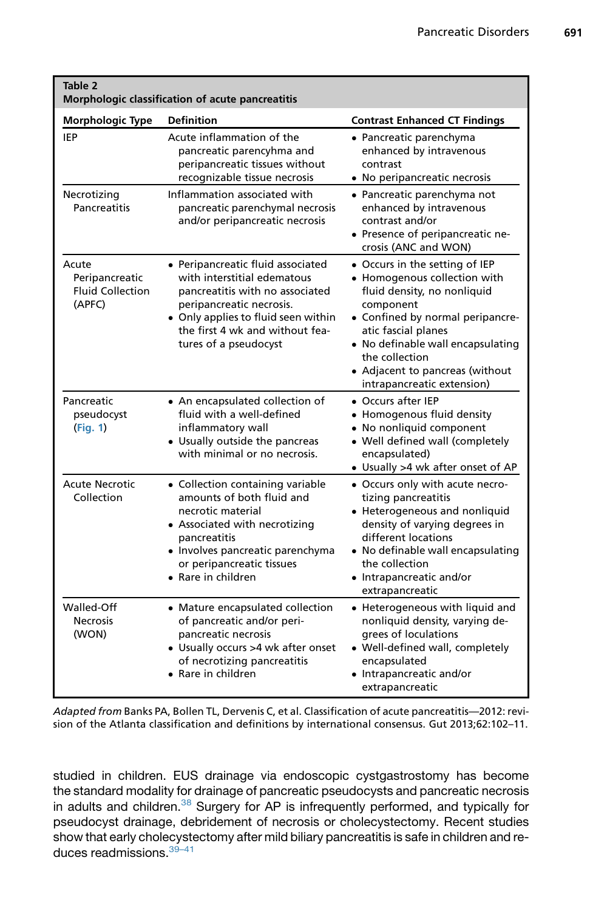<span id="page-6-0"></span>

| Table 2<br>Morphologic classification of acute pancreatitis  |                                                                                                                                                                                                                                    |                                                                                                                                                                                                                                                                                               |  |  |
|--------------------------------------------------------------|------------------------------------------------------------------------------------------------------------------------------------------------------------------------------------------------------------------------------------|-----------------------------------------------------------------------------------------------------------------------------------------------------------------------------------------------------------------------------------------------------------------------------------------------|--|--|
| <b>Morphologic Type</b>                                      | <b>Definition</b>                                                                                                                                                                                                                  | <b>Contrast Enhanced CT Findings</b>                                                                                                                                                                                                                                                          |  |  |
| <b>IEP</b>                                                   | Acute inflammation of the<br>pancreatic parencyhma and<br>peripancreatic tissues without<br>recognizable tissue necrosis                                                                                                           | • Pancreatic parenchyma<br>enhanced by intravenous<br>contrast<br>· No peripancreatic necrosis                                                                                                                                                                                                |  |  |
| Necrotizing<br>Pancreatitis                                  | Inflammation associated with<br>pancreatic parenchymal necrosis<br>and/or peripancreatic necrosis                                                                                                                                  | • Pancreatic parenchyma not<br>enhanced by intravenous<br>contrast and/or<br>• Presence of peripancreatic ne-<br>crosis (ANC and WON)                                                                                                                                                         |  |  |
| Acute<br>Peripancreatic<br><b>Fluid Collection</b><br>(APFC) | • Peripancreatic fluid associated<br>with interstitial edematous<br>pancreatitis with no associated<br>peripancreatic necrosis.<br>• Only applies to fluid seen within<br>the first 4 wk and without fea-<br>tures of a pseudocyst | • Occurs in the setting of IEP<br>• Homogenous collection with<br>fluid density, no nonliquid<br>component<br>• Confined by normal peripancre-<br>atic fascial planes<br>• No definable wall encapsulating<br>the collection<br>• Adjacent to pancreas (without<br>intrapancreatic extension) |  |  |
| Pancreatic<br>pseudocyst<br>(Fig. 1)                         | • An encapsulated collection of<br>fluid with a well-defined<br>inflammatory wall<br>• Usually outside the pancreas<br>with minimal or no necrosis.                                                                                | • Occurs after IEP<br>• Homogenous fluid density<br>• No nonliquid component<br>• Well defined wall (completely<br>encapsulated)<br>• Usually >4 wk after onset of AP                                                                                                                         |  |  |
| <b>Acute Necrotic</b><br>Collection                          | • Collection containing variable<br>amounts of both fluid and<br>necrotic material<br>• Associated with necrotizing<br>pancreatitis<br>· Involves pancreatic parenchyma<br>or peripancreatic tissues<br>• Rare in children         | • Occurs only with acute necro-<br>tizing pancreatitis<br>• Heterogeneous and nonliquid<br>density of varying degrees in<br>different locations<br>• No definable wall encapsulating<br>the collection<br>• Intrapancreatic and/or<br>extrapancreatic                                         |  |  |
| Walled-Off<br><b>Necrosis</b><br>(WON)                       | • Mature encapsulated collection<br>of pancreatic and/or peri-<br>pancreatic necrosis<br>• Usually occurs >4 wk after onset<br>of necrotizing pancreatitis<br>• Rare in children                                                   | • Heterogeneous with liquid and<br>nonliquid density, varying de-<br>grees of loculations<br>· Well-defined wall, completely<br>encapsulated<br>• Intrapancreatic and/or<br>extrapancreatic                                                                                                   |  |  |

Adapted from Banks PA, Bollen TL, Dervenis C, et al. Classification of acute pancreatitis—2012: revision of the Atlanta classification and definitions by international consensus. Gut 2013;62:102–11.

studied in children. EUS drainage via endoscopic cystgastrostomy has become the standard modality for drainage of pancreatic pseudocysts and pancreatic necrosis in adults and children.<sup>[38](#page-18-0)</sup> Surgery for AP is infrequently performed, and typically for pseudocyst drainage, debridement of necrosis or cholecystectomy. Recent studies show that early cholecystectomy after mild biliary pancreatitis is safe in children and reduces readmissions.[39–41](#page-18-0)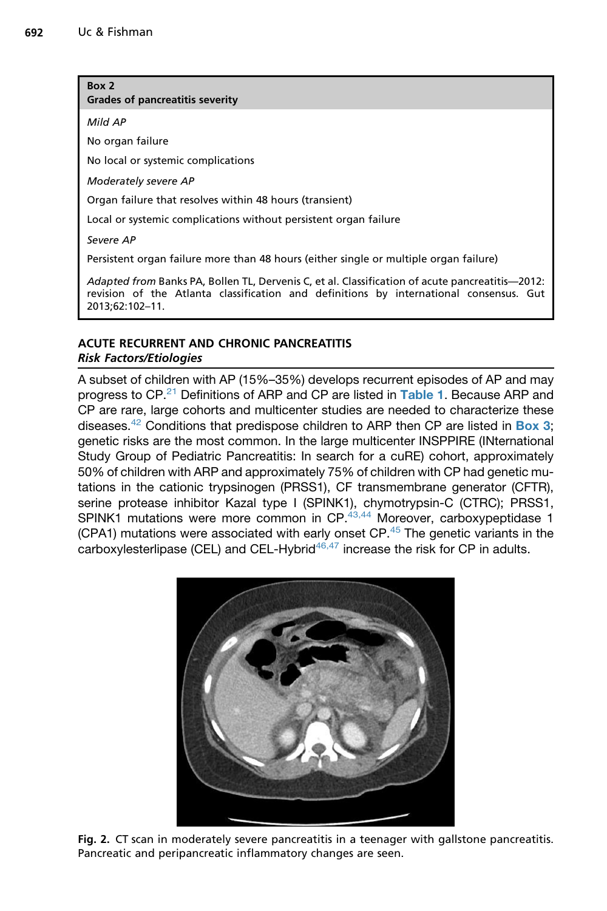#### <span id="page-7-0"></span>Box 2

#### Grades of pancreatitis severity

Mild AP

No organ failure

No local or systemic complications

Moderately severe AP

Organ failure that resolves within 48 hours (transient)

Local or systemic complications without persistent organ failure

Severe AP

Persistent organ failure more than 48 hours (either single or multiple organ failure)

Adapted from Banks PA, Bollen TL, Dervenis C, et al. Classification of acute pancreatitis—2012: revision of the Atlanta classification and definitions by international consensus. Gut 2013;62:102–11.

## ACUTE RECURRENT AND CHRONIC PANCREATITIS Risk Factors/Etiologies

A subset of children with AP (15%–35%) develops recurrent episodes of AP and may progress to CP.<sup>[21](#page-17-0)</sup> Definitions of ARP and CP are listed in [Table 1](#page-4-0). Because ARP and CP are rare, large cohorts and multicenter studies are needed to characterize these diseases.<sup>[42](#page-18-0)</sup> Conditions that predispose children to ARP then CP are listed in **[Box 3](#page-8-0)**; genetic risks are the most common. In the large multicenter INSPPIRE (INternational Study Group of Pediatric Pancreatitis: In search for a cuRE) cohort, approximately 50% of children with ARP and approximately 75% of children with CP had genetic mutations in the cationic trypsinogen (PRSS1), CF transmembrane generator (CFTR), serine protease inhibitor Kazal type I (SPINK1), chymotrypsin-C (CTRC); PRSS1, SPINK1 mutations were more common in CP.<sup>[43,44](#page-18-0)</sup> Moreover, carboxypeptidase 1 (CPA1) mutations were associated with early onset  $CP<sup>45</sup>$  $CP<sup>45</sup>$  $CP<sup>45</sup>$  The genetic variants in the carboxylesterlipase (CEL) and CEL-Hybrid<sup>[46,47](#page-18-0)</sup> increase the risk for CP in adults.



Fig. 2. CT scan in moderately severe pancreatitis in a teenager with gallstone pancreatitis. Pancreatic and peripancreatic inflammatory changes are seen.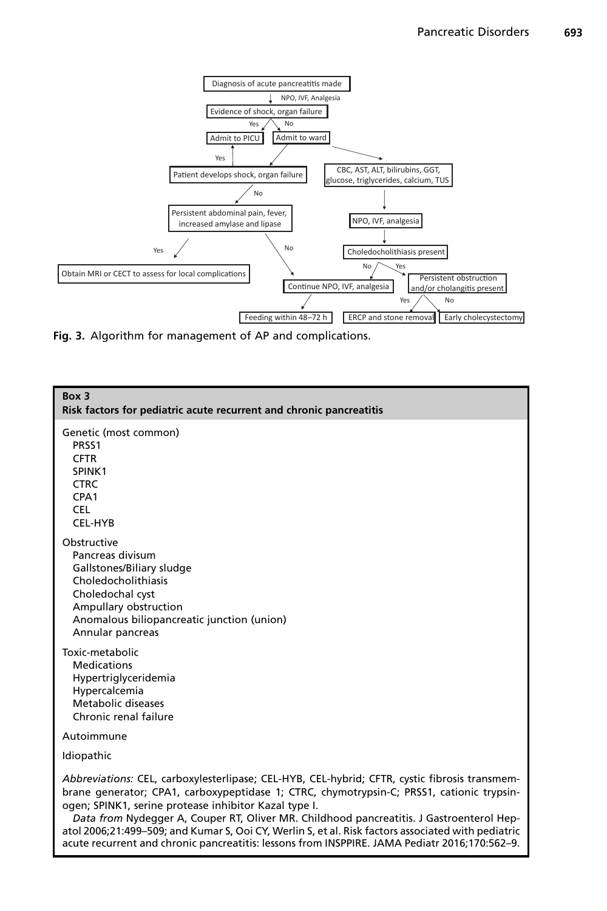<span id="page-8-0"></span>

Fig. 3. Algorithm for management of AP and complications.

| Box 3<br>Risk factors for pediatric acute recurrent and chronic pancreatitis                                                                                                                                                                                                                                                                                                                                                                                                                                                                           |
|--------------------------------------------------------------------------------------------------------------------------------------------------------------------------------------------------------------------------------------------------------------------------------------------------------------------------------------------------------------------------------------------------------------------------------------------------------------------------------------------------------------------------------------------------------|
| Genetic (most common)<br>PRSS1<br><b>CFTR</b><br>SPINK1<br><b>CTRC</b><br>CPA1<br><b>CEL</b><br>CEL-HYB                                                                                                                                                                                                                                                                                                                                                                                                                                                |
| Obstructive<br>Pancreas divisum<br>Gallstones/Biliary sludge<br>Choledocholithiasis<br>Choledochal cyst<br>Ampullary obstruction<br>Anomalous biliopancreatic junction (union)<br>Annular pancreas                                                                                                                                                                                                                                                                                                                                                     |
| Toxic-metabolic<br><b>Medications</b><br>Hypertriglyceridemia<br>Hypercalcemia<br>Metabolic diseases<br>Chronic renal failure                                                                                                                                                                                                                                                                                                                                                                                                                          |
| Autoimmune                                                                                                                                                                                                                                                                                                                                                                                                                                                                                                                                             |
| Idiopathic                                                                                                                                                                                                                                                                                                                                                                                                                                                                                                                                             |
| Abbreviations: CEL, carboxylesterlipase; CEL-HYB, CEL-hybrid; CFTR, cystic fibrosis transmem-<br>brane generator; CPA1, carboxypeptidase 1; CTRC, chymotrypsin-C; PRSS1, cationic trypsin-<br>ogen; SPINK1, serine protease inhibitor Kazal type I.<br>Data from Nydegger A, Couper RT, Oliver MR. Childhood pancreatitis. J Gastroenterol Hep-<br>atol 2006;21:499-509; and Kumar S, Ooi CY, Werlin S, et al. Risk factors associated with pediatric<br>acute recurrent and chronic pancreatitis: lessons from INSPPIRE. JAMA Pediatr 2016;170:562-9. |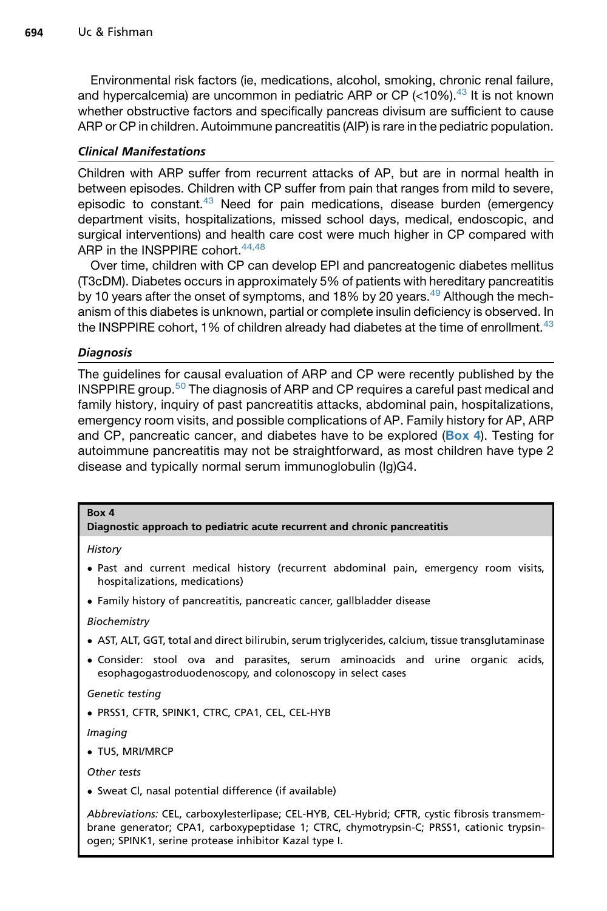Environmental risk factors (ie, medications, alcohol, smoking, chronic renal failure, and hypercalcemia) are uncommon in pediatric ARP or CP  $(<10\%)$ .<sup>[43](#page-18-0)</sup> It is not known whether obstructive factors and specifically pancreas divisum are sufficient to cause ARP or CP in children. Autoimmune pancreatitis (AIP) is rare in the pediatric population.

## Clinical Manifestations

Children with ARP suffer from recurrent attacks of AP, but are in normal health in between episodes. Children with CP suffer from pain that ranges from mild to severe, episodic to constant.<sup>[43](#page-18-0)</sup> Need for pain medications, disease burden (emergency department visits, hospitalizations, missed school days, medical, endoscopic, and surgical interventions) and health care cost were much higher in CP compared with ARP in the INSPPIRE cohort. [44,48](#page-18-0)

Over time, children with CP can develop EPI and pancreatogenic diabetes mellitus (T3cDM). Diabetes occurs in approximately 5% of patients with hereditary pancreatitis by 10 years after the onset of symptoms, and 18% by 20 years.<sup>[49](#page-18-0)</sup> Although the mechanism of this diabetes is unknown, partial or complete insulin deficiency is observed. In the INSPPIRE cohort, 1% of children already had diabetes at the time of enrollment. $43$ 

### **Diagnosis**

The guidelines for causal evaluation of ARP and CP were recently published by the INSPPIRE group.<sup>[50](#page-18-0)</sup> The diagnosis of ARP and CP requires a careful past medical and family history, inquiry of past pancreatitis attacks, abdominal pain, hospitalizations, emergency room visits, and possible complications of AP. Family history for AP, ARP and CP, pancreatic cancer, and diabetes have to be explored (Box 4). Testing for autoimmune pancreatitis may not be straightforward, as most children have type 2 disease and typically normal serum immunoglobulin (Ig)G4.

#### Box 4

#### Diagnostic approach to pediatric acute recurrent and chronic pancreatitis

**History** 

- Past and current medical history (recurrent abdominal pain, emergency room visits, hospitalizations, medications)
- Family history of pancreatitis, pancreatic cancer, gallbladder disease

**Biochemistry** 

- AST, ALT, GGT, total and direct bilirubin, serum triglycerides, calcium, tissue transglutaminase
- Consider: stool ova and parasites, serum aminoacids and urine organic acids, esophagogastroduodenoscopy, and colonoscopy in select cases

Genetic testing

PRSS1, CFTR, SPINK1, CTRC, CPA1, CEL, CEL-HYB

Imaging

TUS, MRI/MRCP

Other tests

Sweat Cl, nasal potential difference (if available)

Abbreviations: CEL, carboxylesterlipase; CEL-HYB, CEL-Hybrid; CFTR, cystic fibrosis transmembrane generator; CPA1, carboxypeptidase 1; CTRC, chymotrypsin-C; PRSS1, cationic trypsinogen; SPINK1, serine protease inhibitor Kazal type I.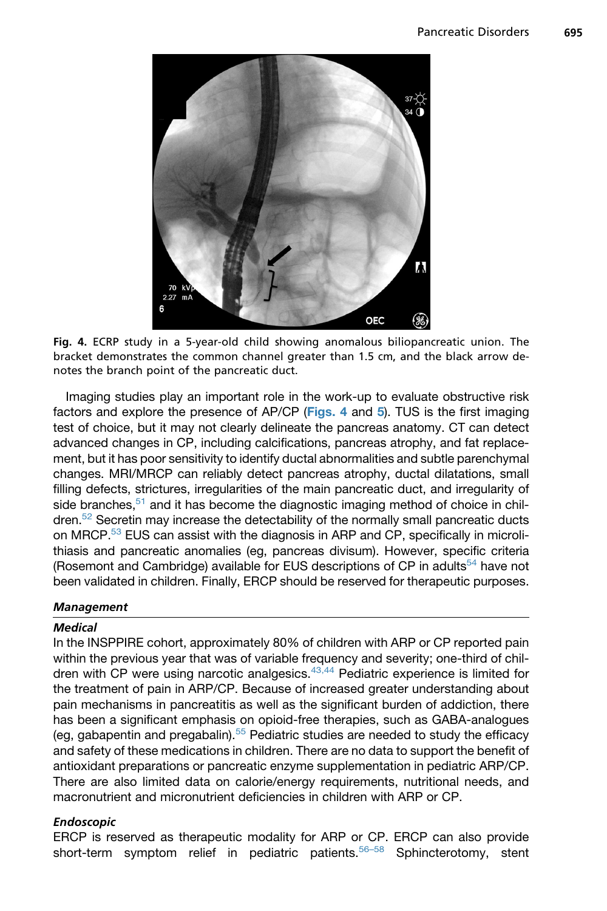

Fig. 4. ECRP study in a 5-year-old child showing anomalous biliopancreatic union. The bracket demonstrates the common channel greater than 1.5 cm, and the black arrow denotes the branch point of the pancreatic duct.

Imaging studies play an important role in the work-up to evaluate obstructive risk factors and explore the presence of AP/CP (Figs. 4 and [5](#page-11-0)). TUS is the first imaging test of choice, but it may not clearly delineate the pancreas anatomy. CT can detect advanced changes in CP, including calcifications, pancreas atrophy, and fat replacement, but it has poor sensitivity to identify ductal abnormalities and subtle parenchymal changes. MRI/MRCP can reliably detect pancreas atrophy, ductal dilatations, small filling defects, strictures, irregularities of the main pancreatic duct, and irregularity of side branches,  $51$  and it has become the diagnostic imaging method of choice in children.<sup>52</sup> Secretin may increase the detectability of the normally small pancreatic ducts on MRCP.<sup>53</sup> EUS can assist with the diagnosis in ARP and CP, specifically in microlithiasis and pancreatic anomalies (eg, pancreas divisum). However, specific criteria (Rosemont and Cambridge) available for EUS descriptions of CP in adults<sup>54</sup> have not been validated in children. Finally, ERCP should be reserved for therapeutic purposes.

### **Management**

### **Medical**

In the INSPPIRE cohort, approximately 80% of children with ARP or CP reported pain within the previous year that was of variable frequency and severity; one-third of children with CP were using narcotic analgesics. $43,44$  Pediatric experience is limited for the treatment of pain in ARP/CP. Because of increased greater understanding about pain mechanisms in pancreatitis as well as the significant burden of addiction, there has been a significant emphasis on opioid-free therapies, such as GABA-analogues (eg, gabapentin and pregabalin). $55$  Pediatric studies are needed to study the efficacy and safety of these medications in children. There are no data to support the benefit of antioxidant preparations or pancreatic enzyme supplementation in pediatric ARP/CP. There are also limited data on calorie/energy requirements, nutritional needs, and macronutrient and micronutrient deficiencies in children with ARP or CP.

### Endoscopic

ERCP is reserved as therapeutic modality for ARP or CP. ERCP can also provide short-term symptom relief in pediatric patients.<sup>[56–58](#page-19-0)</sup> Sphincterotomy, stent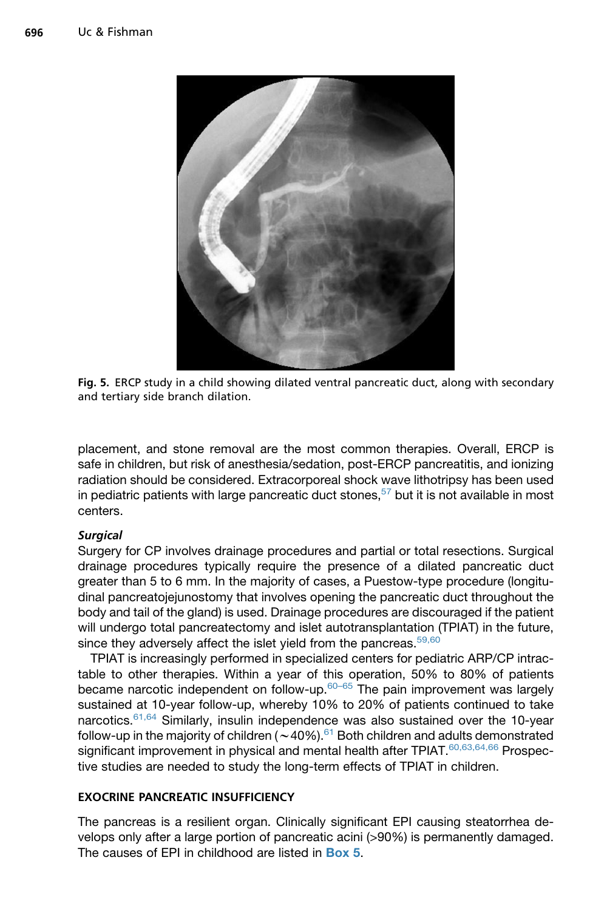<span id="page-11-0"></span>

Fig. 5. ERCP study in a child showing dilated ventral pancreatic duct, along with secondary and tertiary side branch dilation.

placement, and stone removal are the most common therapies. Overall, ERCP is safe in children, but risk of anesthesia/sedation, post-ERCP pancreatitis, and ionizing radiation should be considered. Extracorporeal shock wave lithotripsy has been used in pediatric patients with large pancreatic duct stones,  $57$  but it is not available in most centers.

# **Surgical**

Surgery for CP involves drainage procedures and partial or total resections. Surgical drainage procedures typically require the presence of a dilated pancreatic duct greater than 5 to 6 mm. In the majority of cases, a Puestow-type procedure (longitudinal pancreatojejunostomy that involves opening the pancreatic duct throughout the body and tail of the gland) is used. Drainage procedures are discouraged if the patient will undergo total pancreatectomy and islet autotransplantation (TPIAT) in the future, since they adversely affect the islet yield from the pancreas.<sup>[59,60](#page-19-0)</sup>

TPIAT is increasingly performed in specialized centers for pediatric ARP/CP intractable to other therapies. Within a year of this operation, 50% to 80% of patients became narcotic independent on follow-up. $60-65$  The pain improvement was largely sustained at 10-year follow-up, whereby 10% to 20% of patients continued to take narcotics. $61,64$  Similarly, insulin independence was also sustained over the 10-year follow-up in the majority of children ( $\sim$  40%).<sup>[61](#page-19-0)</sup> Both children and adults demonstrated significant improvement in physical and mental health after TPIAT.<sup>[60,63,64,66](#page-19-0)</sup> Prospective studies are needed to study the long-term effects of TPIAT in children.

### EXOCRINE PANCREATIC INSUFFICIENCY

The pancreas is a resilient organ. Clinically significant EPI causing steatorrhea develops only after a large portion of pancreatic acini (>90%) is permanently damaged. The causes of EPI in childhood are listed in [Box 5](#page-12-0).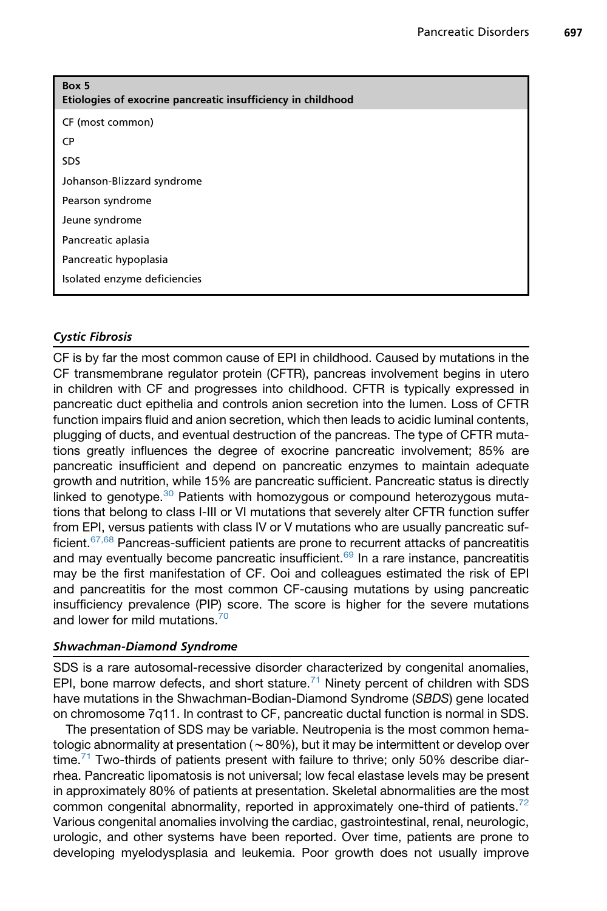<span id="page-12-0"></span>

| Box 5<br>Etiologies of exocrine pancreatic insufficiency in childhood |
|-----------------------------------------------------------------------|
| CF (most common)                                                      |
| <b>CP</b>                                                             |
| <b>SDS</b>                                                            |
| Johanson-Blizzard syndrome                                            |
| Pearson syndrome                                                      |
| Jeune syndrome                                                        |
| Pancreatic aplasia                                                    |
| Pancreatic hypoplasia                                                 |
| Isolated enzyme deficiencies                                          |

## Cystic Fibrosis

CF is by far the most common cause of EPI in childhood. Caused by mutations in the CF transmembrane regulator protein (CFTR), pancreas involvement begins in utero in children with CF and progresses into childhood. CFTR is typically expressed in pancreatic duct epithelia and controls anion secretion into the lumen. Loss of CFTR function impairs fluid and anion secretion, which then leads to acidic luminal contents, plugging of ducts, and eventual destruction of the pancreas. The type of CFTR mutations greatly influences the degree of exocrine pancreatic involvement; 85% are pancreatic insufficient and depend on pancreatic enzymes to maintain adequate growth and nutrition, while 15% are pancreatic sufficient. Pancreatic status is directly linked to genotype.<sup>[30](#page-17-0)</sup> Patients with homozygous or compound heterozygous mutations that belong to class I-III or VI mutations that severely alter CFTR function suffer from EPI, versus patients with class IV or V mutations who are usually pancreatic suf-ficient.<sup>[67,68](#page-19-0)</sup> Pancreas-sufficient patients are prone to recurrent attacks of pancreatitis and may eventually become pancreatic insufficient.<sup>[69](#page-20-0)</sup> In a rare instance, pancreatitis may be the first manifestation of CF. Ooi and colleagues estimated the risk of EPI and pancreatitis for the most common CF-causing mutations by using pancreatic insufficiency prevalence (PIP) score. The score is higher for the severe mutations and lower for mild mutations.<sup>7</sup>

### Shwachman-Diamond Syndrome

SDS is a rare autosomal-recessive disorder characterized by congenital anomalies, EPI, bone marrow defects, and short stature.<sup>[71](#page-20-0)</sup> Ninety percent of children with SDS have mutations in the Shwachman-Bodian-Diamond Syndrome (*SBDS*) gene located on chromosome 7q11. In contrast to CF, pancreatic ductal function is normal in SDS.

The presentation of SDS may be variable. Neutropenia is the most common hematologic abnormality at presentation ( $\sim$  80%), but it may be intermittent or develop over time.<sup>[71](#page-20-0)</sup> Two-thirds of patients present with failure to thrive; only 50% describe diarrhea. Pancreatic lipomatosis is not universal; low fecal elastase levels may be present in approximately 80% of patients at presentation. Skeletal abnormalities are the most common congenital abnormality, reported in approximately one-third of patients.<sup>[72](#page-20-0)</sup> Various congenital anomalies involving the cardiac, gastrointestinal, renal, neurologic, urologic, and other systems have been reported. Over time, patients are prone to developing myelodysplasia and leukemia. Poor growth does not usually improve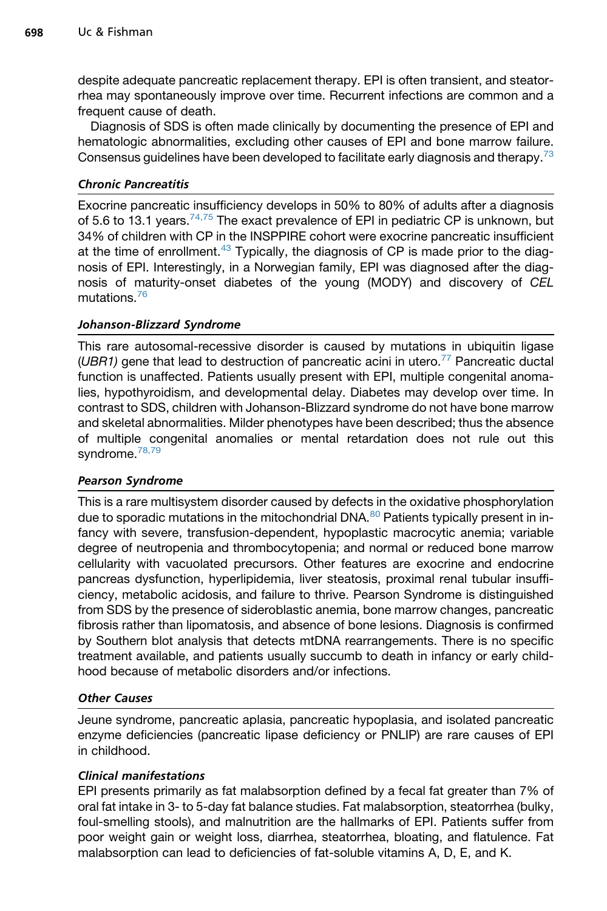despite adequate pancreatic replacement therapy. EPI is often transient, and steatorrhea may spontaneously improve over time. Recurrent infections are common and a frequent cause of death.

Diagnosis of SDS is often made clinically by documenting the presence of EPI and hematologic abnormalities, excluding other causes of EPI and bone marrow failure. Consensus quidelines have been developed to facilitate early diagnosis and therapy.<sup>[73](#page-20-0)</sup>

## Chronic Pancreatitis

Exocrine pancreatic insufficiency develops in 50% to 80% of adults after a diagnosis of 5.6 to 13.1 years.<sup>[74,75](#page-20-0)</sup> The exact prevalence of EPI in pediatric CP is unknown, but 34% of children with CP in the INSPPIRE cohort were exocrine pancreatic insufficient at the time of enrollment.<sup>[43](#page-18-0)</sup> Typically, the diagnosis of CP is made prior to the diagnosis of EPI. Interestingly, in a Norwegian family, EPI was diagnosed after the diagnosis of maturity-onset diabetes of the young (MODY) and discovery of *CEL* mutations.[76](#page-20-0)

# Johanson-Blizzard Syndrome

This rare autosomal-recessive disorder is caused by mutations in ubiquitin ligase (UBR1) gene that lead to destruction of pancreatic acini in utero.<sup>[77](#page-20-0)</sup> Pancreatic ductal function is unaffected. Patients usually present with EPI, multiple congenital anomalies, hypothyroidism, and developmental delay. Diabetes may develop over time. In contrast to SDS, children with Johanson-Blizzard syndrome do not have bone marrow and skeletal abnormalities. Milder phenotypes have been described; thus the absence of multiple congenital anomalies or mental retardation does not rule out this syndrome.<sup>[78,79](#page-20-0)</sup>

### Pearson Syndrome

This is a rare multisystem disorder caused by defects in the oxidative phosphorylation due to sporadic mutations in the mitochondrial DNA.<sup>[80](#page-20-0)</sup> Patients typically present in infancy with severe, transfusion-dependent, hypoplastic macrocytic anemia; variable degree of neutropenia and thrombocytopenia; and normal or reduced bone marrow cellularity with vacuolated precursors. Other features are exocrine and endocrine pancreas dysfunction, hyperlipidemia, liver steatosis, proximal renal tubular insufficiency, metabolic acidosis, and failure to thrive. Pearson Syndrome is distinguished from SDS by the presence of sideroblastic anemia, bone marrow changes, pancreatic fibrosis rather than lipomatosis, and absence of bone lesions. Diagnosis is confirmed by Southern blot analysis that detects mtDNA rearrangements. There is no specific treatment available, and patients usually succumb to death in infancy or early childhood because of metabolic disorders and/or infections.

### Other Causes

Jeune syndrome, pancreatic aplasia, pancreatic hypoplasia, and isolated pancreatic enzyme deficiencies (pancreatic lipase deficiency or PNLIP) are rare causes of EPI in childhood.

### Clinical manifestations

EPI presents primarily as fat malabsorption defined by a fecal fat greater than 7% of oral fat intake in 3- to 5-day fat balance studies. Fat malabsorption, steatorrhea (bulky, foul-smelling stools), and malnutrition are the hallmarks of EPI. Patients suffer from poor weight gain or weight loss, diarrhea, steatorrhea, bloating, and flatulence. Fat malabsorption can lead to deficiencies of fat-soluble vitamins A, D, E, and K.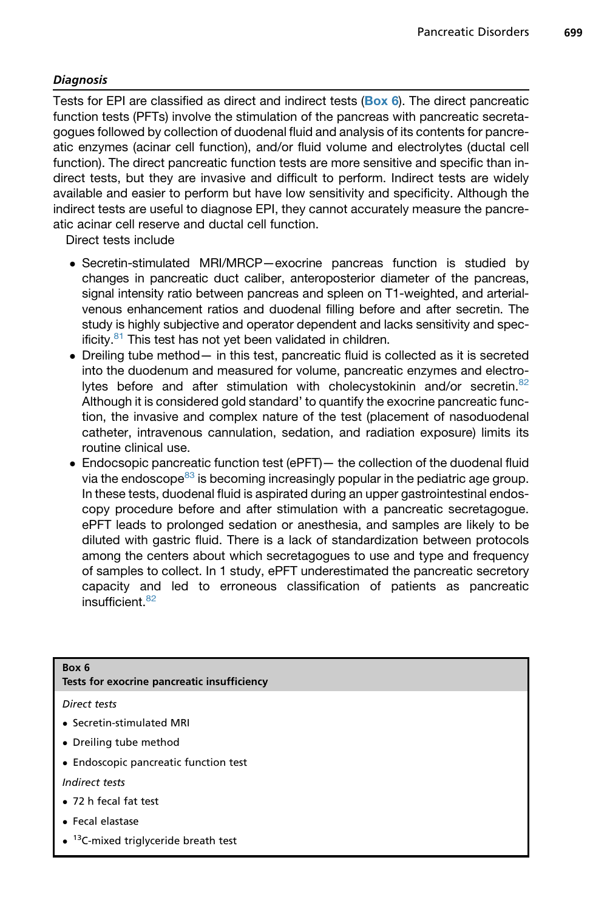# **Diagnosis**

Tests for EPI are classified as direct and indirect tests (Box 6). The direct pancreatic function tests (PFTs) involve the stimulation of the pancreas with pancreatic secretagogues followed by collection of duodenal fluid and analysis of its contents for pancreatic enzymes (acinar cell function), and/or fluid volume and electrolytes (ductal cell function). The direct pancreatic function tests are more sensitive and specific than indirect tests, but they are invasive and difficult to perform. Indirect tests are widely available and easier to perform but have low sensitivity and specificity. Although the indirect tests are useful to diagnose EPI, they cannot accurately measure the pancreatic acinar cell reserve and ductal cell function.

Direct tests include

- Secretin-stimulated MRI/MRCP—exocrine pancreas function is studied by changes in pancreatic duct caliber, anteroposterior diameter of the pancreas, signal intensity ratio between pancreas and spleen on T1-weighted, and arterialvenous enhancement ratios and duodenal filling before and after secretin. The study is highly subjective and operator dependent and lacks sensitivity and specificity. $81$  This test has not yet been validated in children.
- Dreiling tube method— in this test, pancreatic fluid is collected as it is secreted into the duodenum and measured for volume, pancreatic enzymes and electrolytes before and after stimulation with cholecystokinin and/or secretin. $82$ Although it is considered gold standard' to quantify the exocrine pancreatic function, the invasive and complex nature of the test (placement of nasoduodenal catheter, intravenous cannulation, sedation, and radiation exposure) limits its routine clinical use.
- Endocsopic pancreatic function test (ePFT)— the collection of the duodenal fluid via the endoscope<sup>[83](#page-20-0)</sup> is becoming increasingly popular in the pediatric age group. In these tests, duodenal fluid is aspirated during an upper gastrointestinal endoscopy procedure before and after stimulation with a pancreatic secretagogue. ePFT leads to prolonged sedation or anesthesia, and samples are likely to be diluted with gastric fluid. There is a lack of standardization between protocols among the centers about which secretagogues to use and type and frequency of samples to collect. In 1 study, ePFT underestimated the pancreatic secretory capacity and led to erroneous classification of patients as pancreatic insufficient.<sup>[82](#page-20-0)</sup>

#### Box 6 Tests for exocrine pancreatic insufficiency

#### Direct tests

- Secretin-stimulated MRI
- Dreiling tube method
- Endoscopic pancreatic function test

Indirect tests

- 72 h fecal fat test
- Fecal elastase
- <sup>13</sup>C-mixed triglyceride breath test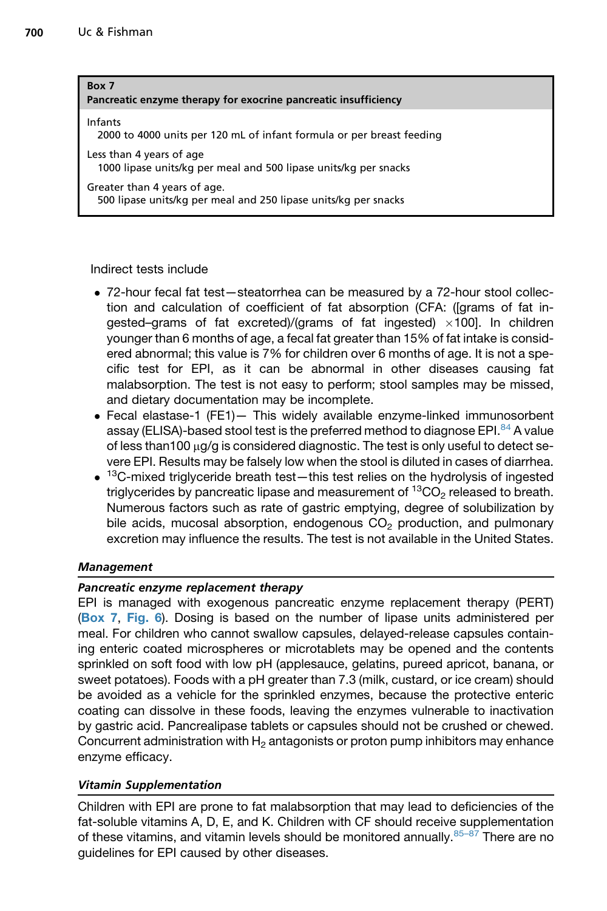| Box 7<br>Pancreatic enzyme therapy for exocrine pancreatic insufficiency                        |
|-------------------------------------------------------------------------------------------------|
| Infants<br>2000 to 4000 units per 120 mL of infant formula or per breast feeding                |
| Less than 4 years of age<br>1000 lipase units/kg per meal and 500 lipase units/kg per snacks    |
| Greater than 4 years of age.<br>500 lipase units/kg per meal and 250 lipase units/kg per snacks |

Indirect tests include

- 72-hour fecal fat test—steatorrhea can be measured by a 72-hour stool collection and calculation of coefficient of fat absorption (CFA: ([grams of fat ingested–grams of fat excreted)/(grams of fat ingested)  $\times$ 100]. In children younger than 6 months of age, a fecal fat greater than 15% of fat intake is considered abnormal; this value is 7% for children over 6 months of age. It is not a specific test for EPI, as it can be abnormal in other diseases causing fat malabsorption. The test is not easy to perform; stool samples may be missed, and dietary documentation may be incomplete.
- Fecal elastase-1 (FE1)— This widely available enzyme-linked immunosorbent assay (ELISA)-based stool test is the preferred method to diagnose EPI.<sup>[84](#page-20-0)</sup> A value of less than100  $\mu$ g/g is considered diagnostic. The test is only useful to detect severe EPI. Results may be falsely low when the stool is diluted in cases of diarrhea.
- $\bullet$  <sup>13</sup>C-mixed triglyceride breath test—this test relies on the hydrolysis of ingested triglycerides by pancreatic lipase and measurement of  ${}^{13}CO_2$  released to breath. Numerous factors such as rate of gastric emptying, degree of solubilization by bile acids, mucosal absorption, endogenous  $CO<sub>2</sub>$  production, and pulmonary excretion may influence the results. The test is not available in the United States.

# Management

# Pancreatic enzyme replacement therapy

EPI is managed with exogenous pancreatic enzyme replacement therapy (PERT) (Box 7, [Fig. 6](#page-16-0)). Dosing is based on the number of lipase units administered per meal. For children who cannot swallow capsules, delayed-release capsules containing enteric coated microspheres or microtablets may be opened and the contents sprinkled on soft food with low pH (applesauce, gelatins, pureed apricot, banana, or sweet potatoes). Foods with a pH greater than 7.3 (milk, custard, or ice cream) should be avoided as a vehicle for the sprinkled enzymes, because the protective enteric coating can dissolve in these foods, leaving the enzymes vulnerable to inactivation by gastric acid. Pancrealipase tablets or capsules should not be crushed or chewed. Concurrent administration with  $H_2$  antagonists or proton pump inhibitors may enhance enzyme efficacy.

# Vitamin Supplementation

Children with EPI are prone to fat malabsorption that may lead to deficiencies of the fat-soluble vitamins A, D, E, and K. Children with CF should receive supplementation of these vitamins, and vitamin levels should be monitored annually.<sup>85-87</sup> There are no guidelines for EPI caused by other diseases.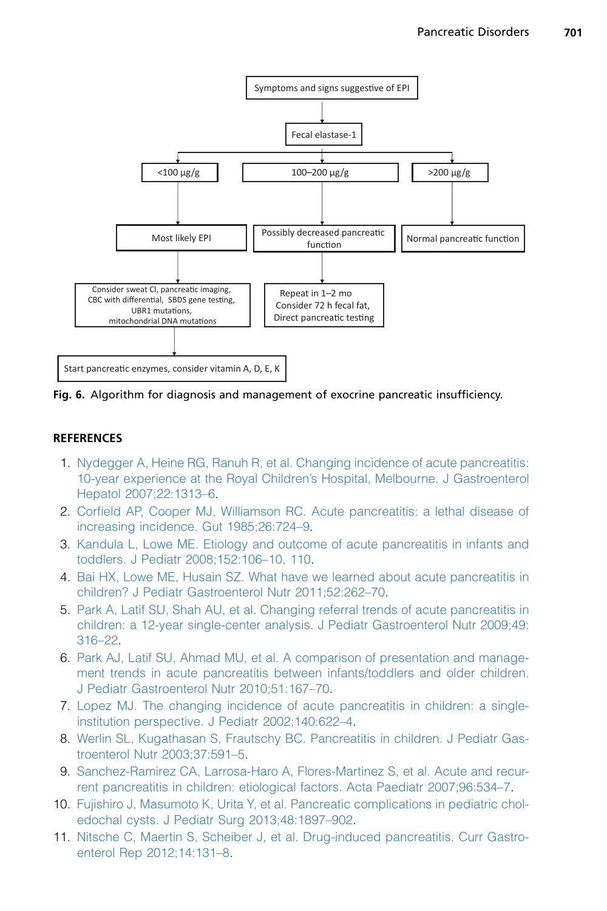<span id="page-16-0"></span>

Fig. 6. Algorithm for diagnosis and management of exocrine pancreatic insufficiency.

## **REFERENCES**

- 1. [Nydegger A, Heine RG, Ranuh R, et al. Changing incidence of acute pancreatitis:](http://refhub.elsevier.com/S0031-3955(17)30010-X/sref1) [10-year experience at the Royal Children's Hospital, Melbourne. J Gastroenterol](http://refhub.elsevier.com/S0031-3955(17)30010-X/sref1) [Hepatol 2007;22:1313–6](http://refhub.elsevier.com/S0031-3955(17)30010-X/sref1).
- 2. [Corfield AP, Cooper MJ, Williamson RC. Acute pancreatitis: a lethal disease of](http://refhub.elsevier.com/S0031-3955(17)30010-X/sref2) [increasing incidence. Gut 1985;26:724–9](http://refhub.elsevier.com/S0031-3955(17)30010-X/sref2).
- 3. [Kandula L, Lowe ME. Etiology and outcome of acute pancreatitis in infants and](http://refhub.elsevier.com/S0031-3955(17)30010-X/sref3) [toddlers. J Pediatr 2008;152:106–10, 110](http://refhub.elsevier.com/S0031-3955(17)30010-X/sref3).
- 4. [Bai HX, Lowe ME, Husain SZ. What have we learned about acute pancreatitis in](http://refhub.elsevier.com/S0031-3955(17)30010-X/sref4) [children? J Pediatr Gastroenterol Nutr 2011;52:262–70](http://refhub.elsevier.com/S0031-3955(17)30010-X/sref4).
- 5. [Park A, Latif SU, Shah AU, et al. Changing referral trends of acute pancreatitis in](http://refhub.elsevier.com/S0031-3955(17)30010-X/sref5) [children: a 12-year single-center analysis. J Pediatr Gastroenterol Nutr 2009;49:](http://refhub.elsevier.com/S0031-3955(17)30010-X/sref5) [316–22](http://refhub.elsevier.com/S0031-3955(17)30010-X/sref5).
- 6. [Park AJ, Latif SU, Ahmad MU, et al. A comparison of presentation and manage](http://refhub.elsevier.com/S0031-3955(17)30010-X/sref6)[ment trends in acute pancreatitis between infants/toddlers and older children.](http://refhub.elsevier.com/S0031-3955(17)30010-X/sref6) [J Pediatr Gastroenterol Nutr 2010;51:167–70](http://refhub.elsevier.com/S0031-3955(17)30010-X/sref6).
- 7. [Lopez MJ. The changing incidence of acute pancreatitis in children: a single](http://refhub.elsevier.com/S0031-3955(17)30010-X/sref7)[institution perspective. J Pediatr 2002;140:622–4](http://refhub.elsevier.com/S0031-3955(17)30010-X/sref7).
- 8. [Werlin SL, Kugathasan S, Frautschy BC. Pancreatitis in children. J Pediatr Gas](http://refhub.elsevier.com/S0031-3955(17)30010-X/sref8)[troenterol Nutr 2003;37:591–5](http://refhub.elsevier.com/S0031-3955(17)30010-X/sref8).
- 9. [Sanchez-Ramirez CA, Larrosa-Haro A, Flores-Martinez S, et al. Acute and recur](http://refhub.elsevier.com/S0031-3955(17)30010-X/sref9)[rent pancreatitis in children: etiological factors. Acta Paediatr 2007;96:534–7](http://refhub.elsevier.com/S0031-3955(17)30010-X/sref9).
- 10. [Fujishiro J, Masumoto K, Urita Y, et al. Pancreatic complications in pediatric chol](http://refhub.elsevier.com/S0031-3955(17)30010-X/sref10)[edochal cysts. J Pediatr Surg 2013;48:1897–902](http://refhub.elsevier.com/S0031-3955(17)30010-X/sref10).
- 11. [Nitsche C, Maertin S, Scheiber J, et al. Drug-induced pancreatitis. Curr Gastro](http://refhub.elsevier.com/S0031-3955(17)30010-X/sref11)[enterol Rep 2012;14:131–8](http://refhub.elsevier.com/S0031-3955(17)30010-X/sref11).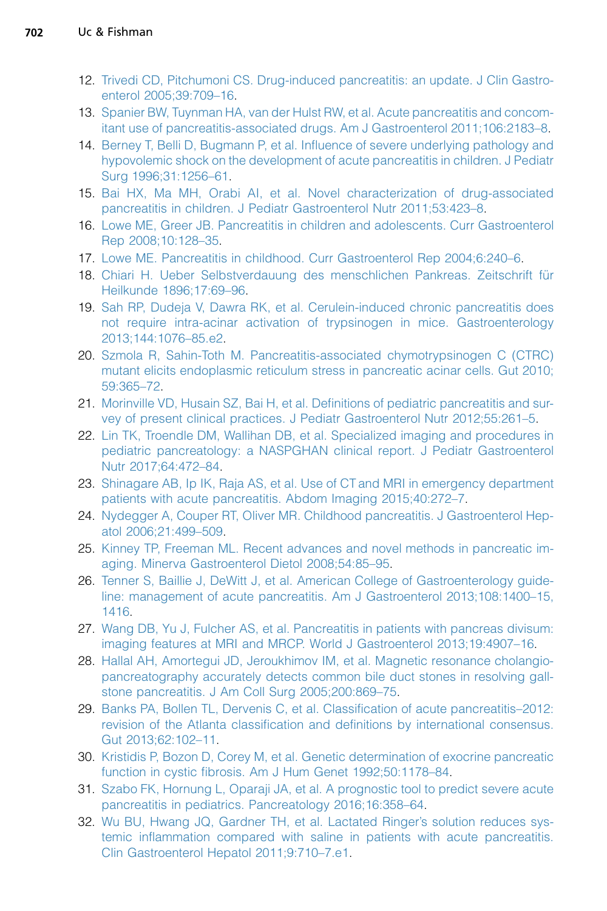- <span id="page-17-0"></span>12. [Trivedi CD, Pitchumoni CS. Drug-induced pancreatitis: an update. J Clin Gastro](http://refhub.elsevier.com/S0031-3955(17)30010-X/sref12)[enterol 2005;39:709–16](http://refhub.elsevier.com/S0031-3955(17)30010-X/sref12).
- 13. [Spanier BW, Tuynman HA, van der Hulst RW, et al. Acute pancreatitis and concom](http://refhub.elsevier.com/S0031-3955(17)30010-X/sref13)[itant use of pancreatitis-associated drugs. Am J Gastroenterol 2011;106:2183–8.](http://refhub.elsevier.com/S0031-3955(17)30010-X/sref13)
- 14. [Berney T, Belli D, Bugmann P, et al. Influence of severe underlying pathology and](http://refhub.elsevier.com/S0031-3955(17)30010-X/sref14) [hypovolemic shock on the development of acute pancreatitis in children. J Pediatr](http://refhub.elsevier.com/S0031-3955(17)30010-X/sref14) [Surg 1996;31:1256–61.](http://refhub.elsevier.com/S0031-3955(17)30010-X/sref14)
- 15. [Bai HX, Ma MH, Orabi AI, et al. Novel characterization of drug-associated](http://refhub.elsevier.com/S0031-3955(17)30010-X/sref15) [pancreatitis in children. J Pediatr Gastroenterol Nutr 2011;53:423–8](http://refhub.elsevier.com/S0031-3955(17)30010-X/sref15).
- 16. [Lowe ME, Greer JB. Pancreatitis in children and adolescents. Curr Gastroenterol](http://refhub.elsevier.com/S0031-3955(17)30010-X/sref16) [Rep 2008;10:128–35.](http://refhub.elsevier.com/S0031-3955(17)30010-X/sref16)
- 17. [Lowe ME. Pancreatitis in childhood. Curr Gastroenterol Rep 2004;6:240–6.](http://refhub.elsevier.com/S0031-3955(17)30010-X/sref17)
- 18. Chiari H. Ueber Selbstverdauung des menschlichen Pankreas. Zeitschrift für [Heilkunde 1896;17:69–96.](http://refhub.elsevier.com/S0031-3955(17)30010-X/sref18)
- 19. [Sah RP, Dudeja V, Dawra RK, et al. Cerulein-induced chronic pancreatitis does](http://refhub.elsevier.com/S0031-3955(17)30010-X/sref19) [not require intra-acinar activation of trypsinogen in mice. Gastroenterology](http://refhub.elsevier.com/S0031-3955(17)30010-X/sref19) [2013;144:1076–85.e2.](http://refhub.elsevier.com/S0031-3955(17)30010-X/sref19)
- 20. [Szmola R, Sahin-Toth M. Pancreatitis-associated chymotrypsinogen C \(CTRC\)](http://refhub.elsevier.com/S0031-3955(17)30010-X/sref20) [mutant elicits endoplasmic reticulum stress in pancreatic acinar cells. Gut 2010;](http://refhub.elsevier.com/S0031-3955(17)30010-X/sref20) [59:365–72](http://refhub.elsevier.com/S0031-3955(17)30010-X/sref20).
- 21. [Morinville VD, Husain SZ, Bai H, et al. Definitions of pediatric pancreatitis and sur](http://refhub.elsevier.com/S0031-3955(17)30010-X/sref21)[vey of present clinical practices. J Pediatr Gastroenterol Nutr 2012;55:261–5](http://refhub.elsevier.com/S0031-3955(17)30010-X/sref21).
- 22. [Lin TK, Troendle DM, Wallihan DB, et al. Specialized imaging and procedures in](http://refhub.elsevier.com/S0031-3955(17)30010-X/sref22) [pediatric pancreatology: a NASPGHAN clinical report. J Pediatr Gastroenterol](http://refhub.elsevier.com/S0031-3955(17)30010-X/sref22) [Nutr 2017;64:472–84](http://refhub.elsevier.com/S0031-3955(17)30010-X/sref22).
- 23. [Shinagare AB, Ip IK, Raja AS, et al. Use of CT and MRI in emergency department](http://refhub.elsevier.com/S0031-3955(17)30010-X/sref23) [patients with acute pancreatitis. Abdom Imaging 2015;40:272–7.](http://refhub.elsevier.com/S0031-3955(17)30010-X/sref23)
- 24. [Nydegger A, Couper RT, Oliver MR. Childhood pancreatitis. J Gastroenterol Hep](http://refhub.elsevier.com/S0031-3955(17)30010-X/sref24)[atol 2006;21:499–509.](http://refhub.elsevier.com/S0031-3955(17)30010-X/sref24)
- 25. [Kinney TP, Freeman ML. Recent advances and novel methods in pancreatic im](http://refhub.elsevier.com/S0031-3955(17)30010-X/sref25)[aging. Minerva Gastroenterol Dietol 2008;54:85–95](http://refhub.elsevier.com/S0031-3955(17)30010-X/sref25).
- 26. [Tenner S, Baillie J, DeWitt J, et al. American College of Gastroenterology guide](http://refhub.elsevier.com/S0031-3955(17)30010-X/sref26)[line: management of acute pancreatitis. Am J Gastroenterol 2013;108:1400–15,](http://refhub.elsevier.com/S0031-3955(17)30010-X/sref26) [1416](http://refhub.elsevier.com/S0031-3955(17)30010-X/sref26).
- 27. [Wang DB, Yu J, Fulcher AS, et al. Pancreatitis in patients with pancreas divisum:](http://refhub.elsevier.com/S0031-3955(17)30010-X/sref27) [imaging features at MRI and MRCP. World J Gastroenterol 2013;19:4907–16](http://refhub.elsevier.com/S0031-3955(17)30010-X/sref27).
- 28. [Hallal AH, Amortegui JD, Jeroukhimov IM, et al. Magnetic resonance cholangio](http://refhub.elsevier.com/S0031-3955(17)30010-X/sref28)[pancreatography accurately detects common bile duct stones in resolving gall](http://refhub.elsevier.com/S0031-3955(17)30010-X/sref28)[stone pancreatitis. J Am Coll Surg 2005;200:869–75](http://refhub.elsevier.com/S0031-3955(17)30010-X/sref28).
- 29. [Banks PA, Bollen TL, Dervenis C, et al. Classification of acute pancreatitis–2012:](http://refhub.elsevier.com/S0031-3955(17)30010-X/sref29) [revision of the Atlanta classification and definitions by international consensus.](http://refhub.elsevier.com/S0031-3955(17)30010-X/sref29) [Gut 2013;62:102–11.](http://refhub.elsevier.com/S0031-3955(17)30010-X/sref29)
- 30. [Kristidis P, Bozon D, Corey M, et al. Genetic determination of exocrine pancreatic](http://refhub.elsevier.com/S0031-3955(17)30010-X/sref30) [function in cystic fibrosis. Am J Hum Genet 1992;50:1178–84.](http://refhub.elsevier.com/S0031-3955(17)30010-X/sref30)
- 31. [Szabo FK, Hornung L, Oparaji JA, et al. A prognostic tool to predict severe acute](http://refhub.elsevier.com/S0031-3955(17)30010-X/sref31) [pancreatitis in pediatrics. Pancreatology 2016;16:358–64.](http://refhub.elsevier.com/S0031-3955(17)30010-X/sref31)
- 32. [Wu BU, Hwang JQ, Gardner TH, et al. Lactated Ringer's solution reduces sys](http://refhub.elsevier.com/S0031-3955(17)30010-X/sref32)[temic inflammation compared with saline in patients with acute pancreatitis.](http://refhub.elsevier.com/S0031-3955(17)30010-X/sref32) [Clin Gastroenterol Hepatol 2011;9:710–7.e1](http://refhub.elsevier.com/S0031-3955(17)30010-X/sref32).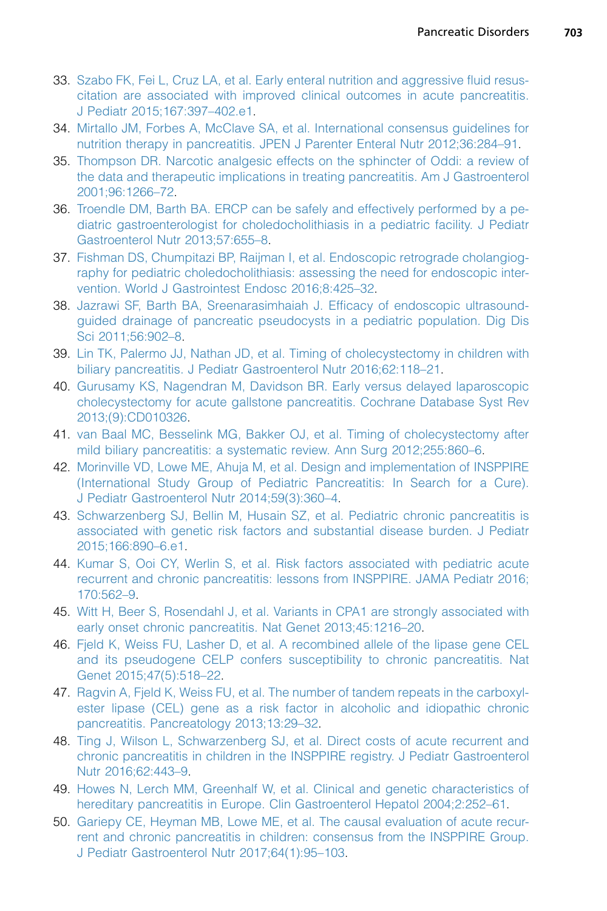- <span id="page-18-0"></span>33. [Szabo FK, Fei L, Cruz LA, et al. Early enteral nutrition and aggressive fluid resus](http://refhub.elsevier.com/S0031-3955(17)30010-X/sref33)[citation are associated with improved clinical outcomes in acute pancreatitis.](http://refhub.elsevier.com/S0031-3955(17)30010-X/sref33) [J Pediatr 2015;167:397–402.e1.](http://refhub.elsevier.com/S0031-3955(17)30010-X/sref33)
- 34. [Mirtallo JM, Forbes A, McClave SA, et al. International consensus guidelines for](http://refhub.elsevier.com/S0031-3955(17)30010-X/sref34) [nutrition therapy in pancreatitis. JPEN J Parenter Enteral Nutr 2012;36:284–91.](http://refhub.elsevier.com/S0031-3955(17)30010-X/sref34)
- 35. [Thompson DR. Narcotic analgesic effects on the sphincter of Oddi: a review of](http://refhub.elsevier.com/S0031-3955(17)30010-X/sref35) [the data and therapeutic implications in treating pancreatitis. Am J Gastroenterol](http://refhub.elsevier.com/S0031-3955(17)30010-X/sref35) [2001;96:1266–72.](http://refhub.elsevier.com/S0031-3955(17)30010-X/sref35)
- 36. [Troendle DM, Barth BA. ERCP can be safely and effectively performed by a pe](http://refhub.elsevier.com/S0031-3955(17)30010-X/sref36)[diatric gastroenterologist for choledocholithiasis in a pediatric facility. J Pediatr](http://refhub.elsevier.com/S0031-3955(17)30010-X/sref36) [Gastroenterol Nutr 2013;57:655–8.](http://refhub.elsevier.com/S0031-3955(17)30010-X/sref36)
- 37. [Fishman DS, Chumpitazi BP, Raijman I, et al. Endoscopic retrograde cholangiog](http://refhub.elsevier.com/S0031-3955(17)30010-X/sref37)[raphy for pediatric choledocholithiasis: assessing the need for endoscopic inter](http://refhub.elsevier.com/S0031-3955(17)30010-X/sref37)[vention. World J Gastrointest Endosc 2016;8:425–32](http://refhub.elsevier.com/S0031-3955(17)30010-X/sref37).
- 38. [Jazrawi SF, Barth BA, Sreenarasimhaiah J. Efficacy of endoscopic ultrasound](http://refhub.elsevier.com/S0031-3955(17)30010-X/sref38)[guided drainage of pancreatic pseudocysts in a pediatric population. Dig Dis](http://refhub.elsevier.com/S0031-3955(17)30010-X/sref38) [Sci 2011;56:902–8](http://refhub.elsevier.com/S0031-3955(17)30010-X/sref38).
- 39. [Lin TK, Palermo JJ, Nathan JD, et al. Timing of cholecystectomy in children with](http://refhub.elsevier.com/S0031-3955(17)30010-X/sref39) [biliary pancreatitis. J Pediatr Gastroenterol Nutr 2016;62:118–21](http://refhub.elsevier.com/S0031-3955(17)30010-X/sref39).
- 40. [Gurusamy KS, Nagendran M, Davidson BR. Early versus delayed laparoscopic](http://refhub.elsevier.com/S0031-3955(17)30010-X/sref40) [cholecystectomy for acute gallstone pancreatitis. Cochrane Database Syst Rev](http://refhub.elsevier.com/S0031-3955(17)30010-X/sref40) [2013;\(9\):CD010326](http://refhub.elsevier.com/S0031-3955(17)30010-X/sref40).
- 41. [van Baal MC, Besselink MG, Bakker OJ, et al. Timing of cholecystectomy after](http://refhub.elsevier.com/S0031-3955(17)30010-X/sref41) [mild biliary pancreatitis: a systematic review. Ann Surg 2012;255:860–6.](http://refhub.elsevier.com/S0031-3955(17)30010-X/sref41)
- 42. [Morinville VD, Lowe ME, Ahuja M, et al. Design and implementation of INSPPIRE](http://refhub.elsevier.com/S0031-3955(17)30010-X/sref42) [\(International Study Group of Pediatric Pancreatitis: In Search for a Cure\).](http://refhub.elsevier.com/S0031-3955(17)30010-X/sref42) [J Pediatr Gastroenterol Nutr 2014;59\(3\):360–4](http://refhub.elsevier.com/S0031-3955(17)30010-X/sref42).
- 43. [Schwarzenberg SJ, Bellin M, Husain SZ, et al. Pediatric chronic pancreatitis is](http://refhub.elsevier.com/S0031-3955(17)30010-X/sref43) [associated with genetic risk factors and substantial disease burden. J Pediatr](http://refhub.elsevier.com/S0031-3955(17)30010-X/sref43) [2015;166:890–6.e1](http://refhub.elsevier.com/S0031-3955(17)30010-X/sref43).
- 44. [Kumar S, Ooi CY, Werlin S, et al. Risk factors associated with pediatric acute](http://refhub.elsevier.com/S0031-3955(17)30010-X/sref44) [recurrent and chronic pancreatitis: lessons from INSPPIRE. JAMA Pediatr 2016;](http://refhub.elsevier.com/S0031-3955(17)30010-X/sref44) [170:562–9](http://refhub.elsevier.com/S0031-3955(17)30010-X/sref44).
- 45. [Witt H, Beer S, Rosendahl J, et al. Variants in CPA1 are strongly associated with](http://refhub.elsevier.com/S0031-3955(17)30010-X/sref45) [early onset chronic pancreatitis. Nat Genet 2013;45:1216–20.](http://refhub.elsevier.com/S0031-3955(17)30010-X/sref45)
- 46. [Fjeld K, Weiss FU, Lasher D, et al. A recombined allele of the lipase gene CEL](http://refhub.elsevier.com/S0031-3955(17)30010-X/sref46) [and its pseudogene CELP confers susceptibility to chronic pancreatitis. Nat](http://refhub.elsevier.com/S0031-3955(17)30010-X/sref46) [Genet 2015;47\(5\):518–22](http://refhub.elsevier.com/S0031-3955(17)30010-X/sref46).
- 47. [Ragvin A, Fjeld K, Weiss FU, et al. The number of tandem repeats in the carboxyl](http://refhub.elsevier.com/S0031-3955(17)30010-X/sref47)[ester lipase \(CEL\) gene as a risk factor in alcoholic and idiopathic chronic](http://refhub.elsevier.com/S0031-3955(17)30010-X/sref47) [pancreatitis. Pancreatology 2013;13:29–32](http://refhub.elsevier.com/S0031-3955(17)30010-X/sref47).
- 48. [Ting J, Wilson L, Schwarzenberg SJ, et al. Direct costs of acute recurrent and](http://refhub.elsevier.com/S0031-3955(17)30010-X/sref48) [chronic pancreatitis in children in the INSPPIRE registry. J Pediatr Gastroenterol](http://refhub.elsevier.com/S0031-3955(17)30010-X/sref48) [Nutr 2016;62:443–9.](http://refhub.elsevier.com/S0031-3955(17)30010-X/sref48)
- 49. [Howes N, Lerch MM, Greenhalf W, et al. Clinical and genetic characteristics of](http://refhub.elsevier.com/S0031-3955(17)30010-X/sref49) [hereditary pancreatitis in Europe. Clin Gastroenterol Hepatol 2004;2:252–61](http://refhub.elsevier.com/S0031-3955(17)30010-X/sref49).
- 50. [Gariepy CE, Heyman MB, Lowe ME, et al. The causal evaluation of acute recur](http://refhub.elsevier.com/S0031-3955(17)30010-X/sref50)[rent and chronic pancreatitis in children: consensus from the INSPPIRE Group.](http://refhub.elsevier.com/S0031-3955(17)30010-X/sref50) [J Pediatr Gastroenterol Nutr 2017;64\(1\):95–103](http://refhub.elsevier.com/S0031-3955(17)30010-X/sref50).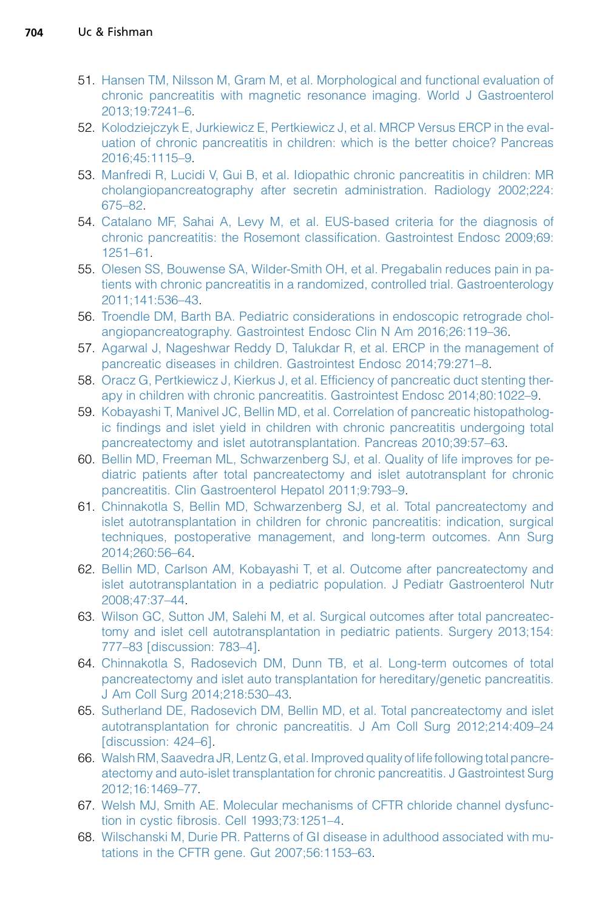- <span id="page-19-0"></span>51. [Hansen TM, Nilsson M, Gram M, et al. Morphological and functional evaluation of](http://refhub.elsevier.com/S0031-3955(17)30010-X/sref51) [chronic pancreatitis with magnetic resonance imaging. World J Gastroenterol](http://refhub.elsevier.com/S0031-3955(17)30010-X/sref51) [2013;19:7241–6](http://refhub.elsevier.com/S0031-3955(17)30010-X/sref51).
- 52. [Kolodziejczyk E, Jurkiewicz E, Pertkiewicz J, et al. MRCP Versus ERCP in the eval](http://refhub.elsevier.com/S0031-3955(17)30010-X/sref52)[uation of chronic pancreatitis in children: which is the better choice? Pancreas](http://refhub.elsevier.com/S0031-3955(17)30010-X/sref52) [2016;45:1115–9](http://refhub.elsevier.com/S0031-3955(17)30010-X/sref52).
- 53. [Manfredi R, Lucidi V, Gui B, et al. Idiopathic chronic pancreatitis in children: MR](http://refhub.elsevier.com/S0031-3955(17)30010-X/sref53) [cholangiopancreatography after secretin administration. Radiology 2002;224:](http://refhub.elsevier.com/S0031-3955(17)30010-X/sref53) [675–82.](http://refhub.elsevier.com/S0031-3955(17)30010-X/sref53)
- 54. [Catalano MF, Sahai A, Levy M, et al. EUS-based criteria for the diagnosis of](http://refhub.elsevier.com/S0031-3955(17)30010-X/sref54) [chronic pancreatitis: the Rosemont classification. Gastrointest Endosc 2009;69:](http://refhub.elsevier.com/S0031-3955(17)30010-X/sref54) [1251–61.](http://refhub.elsevier.com/S0031-3955(17)30010-X/sref54)
- 55. [Olesen SS, Bouwense SA, Wilder-Smith OH, et al. Pregabalin reduces pain in pa](http://refhub.elsevier.com/S0031-3955(17)30010-X/sref55)[tients with chronic pancreatitis in a randomized, controlled trial. Gastroenterology](http://refhub.elsevier.com/S0031-3955(17)30010-X/sref55) [2011;141:536–43](http://refhub.elsevier.com/S0031-3955(17)30010-X/sref55).
- 56. [Troendle DM, Barth BA. Pediatric considerations in endoscopic retrograde chol](http://refhub.elsevier.com/S0031-3955(17)30010-X/sref56)[angiopancreatography. Gastrointest Endosc Clin N Am 2016;26:119–36](http://refhub.elsevier.com/S0031-3955(17)30010-X/sref56).
- 57. [Agarwal J, Nageshwar Reddy D, Talukdar R, et al. ERCP in the management of](http://refhub.elsevier.com/S0031-3955(17)30010-X/sref57) [pancreatic diseases in children. Gastrointest Endosc 2014;79:271–8.](http://refhub.elsevier.com/S0031-3955(17)30010-X/sref57)
- 58. [Oracz G, Pertkiewicz J, Kierkus J, et al. Efficiency of pancreatic duct stenting ther](http://refhub.elsevier.com/S0031-3955(17)30010-X/sref58)[apy in children with chronic pancreatitis. Gastrointest Endosc 2014;80:1022–9.](http://refhub.elsevier.com/S0031-3955(17)30010-X/sref58)
- 59. [Kobayashi T, Manivel JC, Bellin MD, et al. Correlation of pancreatic histopatholog](http://refhub.elsevier.com/S0031-3955(17)30010-X/sref59)[ic findings and islet yield in children with chronic pancreatitis undergoing total](http://refhub.elsevier.com/S0031-3955(17)30010-X/sref59) [pancreatectomy and islet autotransplantation. Pancreas 2010;39:57–63](http://refhub.elsevier.com/S0031-3955(17)30010-X/sref59).
- 60. [Bellin MD, Freeman ML, Schwarzenberg SJ, et al. Quality of life improves for pe](http://refhub.elsevier.com/S0031-3955(17)30010-X/sref60)[diatric patients after total pancreatectomy and islet autotransplant for chronic](http://refhub.elsevier.com/S0031-3955(17)30010-X/sref60) [pancreatitis. Clin Gastroenterol Hepatol 2011;9:793–9](http://refhub.elsevier.com/S0031-3955(17)30010-X/sref60).
- 61. [Chinnakotla S, Bellin MD, Schwarzenberg SJ, et al. Total pancreatectomy and](http://refhub.elsevier.com/S0031-3955(17)30010-X/sref61) [islet autotransplantation in children for chronic pancreatitis: indication, surgical](http://refhub.elsevier.com/S0031-3955(17)30010-X/sref61) [techniques, postoperative management, and long-term outcomes. Ann Surg](http://refhub.elsevier.com/S0031-3955(17)30010-X/sref61) [2014;260:56–64](http://refhub.elsevier.com/S0031-3955(17)30010-X/sref61).
- 62. [Bellin MD, Carlson AM, Kobayashi T, et al. Outcome after pancreatectomy and](http://refhub.elsevier.com/S0031-3955(17)30010-X/sref62) [islet autotransplantation in a pediatric population. J Pediatr Gastroenterol Nutr](http://refhub.elsevier.com/S0031-3955(17)30010-X/sref62) [2008;47:37–44](http://refhub.elsevier.com/S0031-3955(17)30010-X/sref62).
- 63. [Wilson GC, Sutton JM, Salehi M, et al. Surgical outcomes after total pancreatec](http://refhub.elsevier.com/S0031-3955(17)30010-X/sref63)[tomy and islet cell autotransplantation in pediatric patients. Surgery 2013;154:](http://refhub.elsevier.com/S0031-3955(17)30010-X/sref63) [777–83 \[discussion: 783–4\].](http://refhub.elsevier.com/S0031-3955(17)30010-X/sref63)
- 64. [Chinnakotla S, Radosevich DM, Dunn TB, et al. Long-term outcomes of total](http://refhub.elsevier.com/S0031-3955(17)30010-X/sref64) [pancreatectomy and islet auto transplantation for hereditary/genetic pancreatitis.](http://refhub.elsevier.com/S0031-3955(17)30010-X/sref64) [J Am Coll Surg 2014;218:530–43](http://refhub.elsevier.com/S0031-3955(17)30010-X/sref64).
- 65. [Sutherland DE, Radosevich DM, Bellin MD, et al. Total pancreatectomy and islet](http://refhub.elsevier.com/S0031-3955(17)30010-X/sref65) [autotransplantation for chronic pancreatitis. J Am Coll Surg 2012;214:409–24](http://refhub.elsevier.com/S0031-3955(17)30010-X/sref65) [\[discussion: 424–6\].](http://refhub.elsevier.com/S0031-3955(17)30010-X/sref65)
- 66. [WalshRM, Saavedra JR, Lentz G, et al.Improved quality of life followingtotal pancre](http://refhub.elsevier.com/S0031-3955(17)30010-X/sref66)[atectomy and auto-islet transplantation for chronic pancreatitis. J Gastrointest Surg](http://refhub.elsevier.com/S0031-3955(17)30010-X/sref66) [2012;16:1469–77](http://refhub.elsevier.com/S0031-3955(17)30010-X/sref66).
- 67. [Welsh MJ, Smith AE. Molecular mechanisms of CFTR chloride channel dysfunc](http://refhub.elsevier.com/S0031-3955(17)30010-X/sref67)[tion in cystic fibrosis. Cell 1993;73:1251–4](http://refhub.elsevier.com/S0031-3955(17)30010-X/sref67).
- 68. [Wilschanski M, Durie PR. Patterns of GI disease in adulthood associated with mu](http://refhub.elsevier.com/S0031-3955(17)30010-X/sref68)[tations in the CFTR gene. Gut 2007;56:1153–63.](http://refhub.elsevier.com/S0031-3955(17)30010-X/sref68)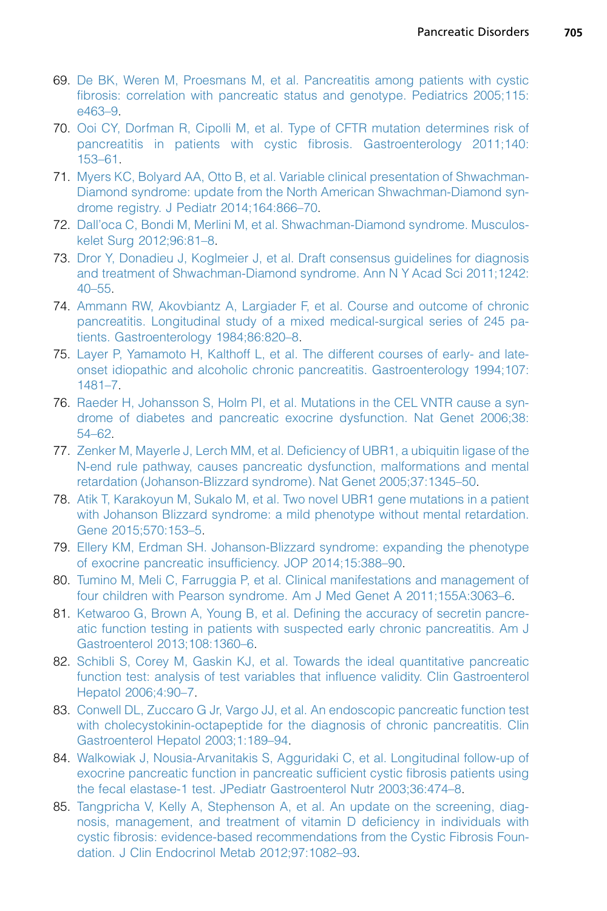- <span id="page-20-0"></span>69. [De BK, Weren M, Proesmans M, et al. Pancreatitis among patients with cystic](http://refhub.elsevier.com/S0031-3955(17)30010-X/sref69) [fibrosis: correlation with pancreatic status and genotype. Pediatrics 2005;115:](http://refhub.elsevier.com/S0031-3955(17)30010-X/sref69) [e463–9.](http://refhub.elsevier.com/S0031-3955(17)30010-X/sref69)
- 70. [Ooi CY, Dorfman R, Cipolli M, et al. Type of CFTR mutation determines risk of](http://refhub.elsevier.com/S0031-3955(17)30010-X/sref70) [pancreatitis in patients with cystic fibrosis. Gastroenterology 2011;140:](http://refhub.elsevier.com/S0031-3955(17)30010-X/sref70) [153–61](http://refhub.elsevier.com/S0031-3955(17)30010-X/sref70).
- 71. [Myers KC, Bolyard AA, Otto B, et al. Variable clinical presentation of Shwachman-](http://refhub.elsevier.com/S0031-3955(17)30010-X/sref71)[Diamond syndrome: update from the North American Shwachman-Diamond syn](http://refhub.elsevier.com/S0031-3955(17)30010-X/sref71)[drome registry. J Pediatr 2014;164:866–70.](http://refhub.elsevier.com/S0031-3955(17)30010-X/sref71)
- 72. [Dall'oca C, Bondi M, Merlini M, et al. Shwachman-Diamond syndrome. Musculos](http://refhub.elsevier.com/S0031-3955(17)30010-X/sref72)[kelet Surg 2012;96:81–8.](http://refhub.elsevier.com/S0031-3955(17)30010-X/sref72)
- 73. [Dror Y, Donadieu J, Koglmeier J, et al. Draft consensus guidelines for diagnosis](http://refhub.elsevier.com/S0031-3955(17)30010-X/sref73) [and treatment of Shwachman-Diamond syndrome. Ann N Y Acad Sci 2011;1242:](http://refhub.elsevier.com/S0031-3955(17)30010-X/sref73) [40–55](http://refhub.elsevier.com/S0031-3955(17)30010-X/sref73).
- 74. [Ammann RW, Akovbiantz A, Largiader F, et al. Course and outcome of chronic](http://refhub.elsevier.com/S0031-3955(17)30010-X/sref74) [pancreatitis. Longitudinal study of a mixed medical-surgical series of 245 pa](http://refhub.elsevier.com/S0031-3955(17)30010-X/sref74)[tients. Gastroenterology 1984;86:820–8.](http://refhub.elsevier.com/S0031-3955(17)30010-X/sref74)
- 75. [Layer P, Yamamoto H, Kalthoff L, et al. The different courses of early- and late](http://refhub.elsevier.com/S0031-3955(17)30010-X/sref75)[onset idiopathic and alcoholic chronic pancreatitis. Gastroenterology 1994;107:](http://refhub.elsevier.com/S0031-3955(17)30010-X/sref75) [1481–7.](http://refhub.elsevier.com/S0031-3955(17)30010-X/sref75)
- 76. [Raeder H, Johansson S, Holm PI, et al. Mutations in the CEL VNTR cause a syn](http://refhub.elsevier.com/S0031-3955(17)30010-X/sref76)[drome of diabetes and pancreatic exocrine dysfunction. Nat Genet 2006;38:](http://refhub.elsevier.com/S0031-3955(17)30010-X/sref76) [54–62](http://refhub.elsevier.com/S0031-3955(17)30010-X/sref76).
- 77. [Zenker M, Mayerle J, Lerch MM, et al. Deficiency of UBR1, a ubiquitin ligase of the](http://refhub.elsevier.com/S0031-3955(17)30010-X/sref77) [N-end rule pathway, causes pancreatic dysfunction, malformations and mental](http://refhub.elsevier.com/S0031-3955(17)30010-X/sref77) [retardation \(Johanson-Blizzard syndrome\). Nat Genet 2005;37:1345–50.](http://refhub.elsevier.com/S0031-3955(17)30010-X/sref77)
- 78. [Atik T, Karakoyun M, Sukalo M, et al. Two novel UBR1 gene mutations in a patient](http://refhub.elsevier.com/S0031-3955(17)30010-X/sref78) [with Johanson Blizzard syndrome: a mild phenotype without mental retardation.](http://refhub.elsevier.com/S0031-3955(17)30010-X/sref78) [Gene 2015;570:153–5.](http://refhub.elsevier.com/S0031-3955(17)30010-X/sref78)
- 79. [Ellery KM, Erdman SH. Johanson-Blizzard syndrome: expanding the phenotype](http://refhub.elsevier.com/S0031-3955(17)30010-X/sref79) [of exocrine pancreatic insufficiency. JOP 2014;15:388–90](http://refhub.elsevier.com/S0031-3955(17)30010-X/sref79).
- 80. [Tumino M, Meli C, Farruggia P, et al. Clinical manifestations and management of](http://refhub.elsevier.com/S0031-3955(17)30010-X/sref80) [four children with Pearson syndrome. Am J Med Genet A 2011;155A:3063–6](http://refhub.elsevier.com/S0031-3955(17)30010-X/sref80).
- 81. [Ketwaroo G, Brown A, Young B, et al. Defining the accuracy of secretin pancre](http://refhub.elsevier.com/S0031-3955(17)30010-X/sref81)[atic function testing in patients with suspected early chronic pancreatitis. Am J](http://refhub.elsevier.com/S0031-3955(17)30010-X/sref81) [Gastroenterol 2013;108:1360–6.](http://refhub.elsevier.com/S0031-3955(17)30010-X/sref81)
- 82. [Schibli S, Corey M, Gaskin KJ, et al. Towards the ideal quantitative pancreatic](http://refhub.elsevier.com/S0031-3955(17)30010-X/sref82) [function test: analysis of test variables that influence validity. Clin Gastroenterol](http://refhub.elsevier.com/S0031-3955(17)30010-X/sref82) [Hepatol 2006;4:90–7](http://refhub.elsevier.com/S0031-3955(17)30010-X/sref82).
- 83. [Conwell DL, Zuccaro G Jr, Vargo JJ, et al. An endoscopic pancreatic function test](http://refhub.elsevier.com/S0031-3955(17)30010-X/sref83) [with cholecystokinin-octapeptide for the diagnosis of chronic pancreatitis. Clin](http://refhub.elsevier.com/S0031-3955(17)30010-X/sref83) [Gastroenterol Hepatol 2003;1:189–94.](http://refhub.elsevier.com/S0031-3955(17)30010-X/sref83)
- 84. [Walkowiak J, Nousia-Arvanitakis S, Agguridaki C, et al. Longitudinal follow-up of](http://refhub.elsevier.com/S0031-3955(17)30010-X/sref84) [exocrine pancreatic function in pancreatic sufficient cystic fibrosis patients using](http://refhub.elsevier.com/S0031-3955(17)30010-X/sref84) [the fecal elastase-1 test. JPediatr Gastroenterol Nutr 2003;36:474–8](http://refhub.elsevier.com/S0031-3955(17)30010-X/sref84).
- 85. [Tangpricha V, Kelly A, Stephenson A, et al. An update on the screening, diag](http://refhub.elsevier.com/S0031-3955(17)30010-X/sref85)[nosis, management, and treatment of vitamin D deficiency in individuals with](http://refhub.elsevier.com/S0031-3955(17)30010-X/sref85) [cystic fibrosis: evidence-based recommendations from the Cystic Fibrosis Foun](http://refhub.elsevier.com/S0031-3955(17)30010-X/sref85)[dation. J Clin Endocrinol Metab 2012;97:1082–93.](http://refhub.elsevier.com/S0031-3955(17)30010-X/sref85)